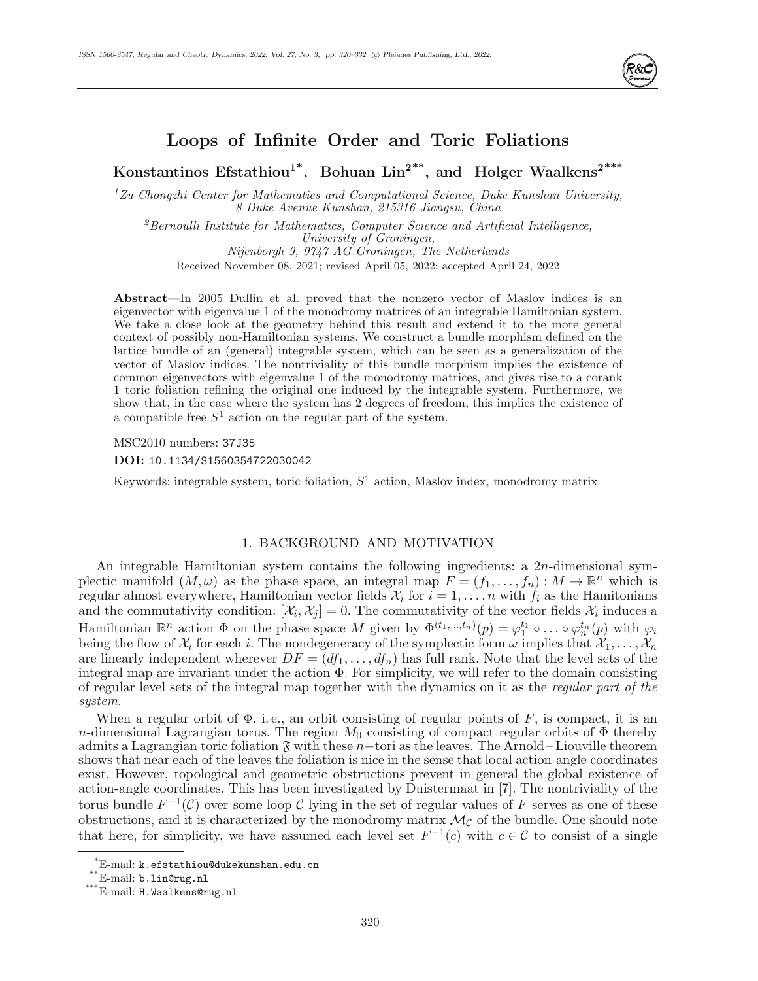

# **Loops of Infinite Order and Toric Foliations**

**Konstantinos Efstathiou1\*, Bohuan Lin2\*\*, and Holger Waalkens2\*\*\***

 $1$ Zu Chongzhi Center for Mathematics and Computational Science, Duke Kunshan University, 8 Duke Avenue Kunshan, 215316 Jiangsu, China

 ${}^{2}$ Bernoulli Institute for Mathematics, Computer Science and Artificial Intelligence, University of Groningen, Nijenborgh 9, 9747 AG Groningen, The Netherlands

Received November 08, 2021; revised April 05, 2022; accepted April 24, 2022

**Abstract**—In 2005 Dullin et al. proved that the nonzero vector of Maslov indices is an eigenvector with eigenvalue 1 of the monodromy matrices of an integrable Hamiltonian system. We take a close look at the geometry behind this result and extend it to the more general context of possibly non-Hamiltonian systems. We construct a bundle morphism defined on the lattice bundle of an (general) integrable system, which can be seen as a generalization of the vector of Maslov indices. The nontriviality of this bundle morphism implies the existence of common eigenvectors with eigenvalue 1 of the monodromy matrices, and gives rise to a corank 1 toric foliation refining the original one induced by the integrable system. Furthermore, we show that, in the case where the system has 2 degrees of freedom, this implies the existence of a compatible free  $S<sup>1</sup>$  action on the regular part of the system.

MSC2010 numbers: 37J35

**DOI:** 10.1134/S1560354722030042

Keywords: integrable system, toric foliation,  $S^1$  action, Maslov index, monodromy matrix

## 1. BACKGROUND AND MOTIVATION

An integrable Hamiltonian system contains the following ingredients: a 2n-dimensional symplectic manifold  $(M,\omega)$  as the phase space, an integral map  $F = (f_1,\ldots,f_n) : M \to \mathbb{R}^n$  which is regular almost everywhere, Hamiltonian vector fields  $\mathcal{X}_i$  for  $i = 1, \ldots, n$  with  $f_i$  as the Hamitonians and the commutativity condition:  $[\mathcal{X}_i, \mathcal{X}_j] = 0$ . The commutativity of the vector fields  $\mathcal{X}_i$  induces a Hamiltonian  $\mathbb{R}^n$  action  $\Phi$  on the phase space M given by  $\Phi^{(t_1,...,t_n)}(p) = \varphi_1^{t_1} \circ \dots \circ \varphi_n^{t_n}(p)$  with  $\varphi_i$ being the flow of  $\mathcal{X}_i$  for each i. The nondegeneracy of the symplectic form  $\omega$  implies that  $\mathcal{X}_1,\ldots,\mathcal{X}_n$ are linearly independent wherever  $DF = (df_1, \ldots, df_n)$  has full rank. Note that the level sets of the integral map are invariant under the action  $\Phi$ . For simplicity, we will refer to the domain consisting of regular level sets of the integral map together with the dynamics on it as the regular part of the system.

When a regular orbit of  $\Phi$ , i.e., an orbit consisting of regular points of F, is compact, it is an n-dimensional Lagrangian torus. The region  $M_0$  consisting of compact regular orbits of  $\Phi$  thereby admits a Lagrangian toric foliation  $\mathfrak F$  with these n–tori as the leaves. The Arnold – Liouville theorem shows that near each of the leaves the foliation is nice in the sense that local action-angle coordinates exist. However, topological and geometric obstructions prevent in general the global existence of action-angle coordinates. This has been investigated by Duistermaat in [7]. The nontriviality of the torus bundle  $F^{-1}(\mathcal{C})$  over some loop  $\mathcal C$  lying in the set of regular values of F serves as one of these obstructions, and it is characterized by the monodromy matrix  $\mathcal{M}_{\mathcal{C}}$  of the bundle. One should note that here, for simplicity, we have assumed each level set  $F^{-1}(c)$  with  $c \in \mathcal{C}$  to consist of a single

<sup>\*</sup>E-mail: k.efstathiou@dukekunshan.edu.cn

<sup>\*\*</sup>E-mail: b.lin@rug.nl

<sup>\*\*\*</sup>E-mail: H.Waalkens@rug.nl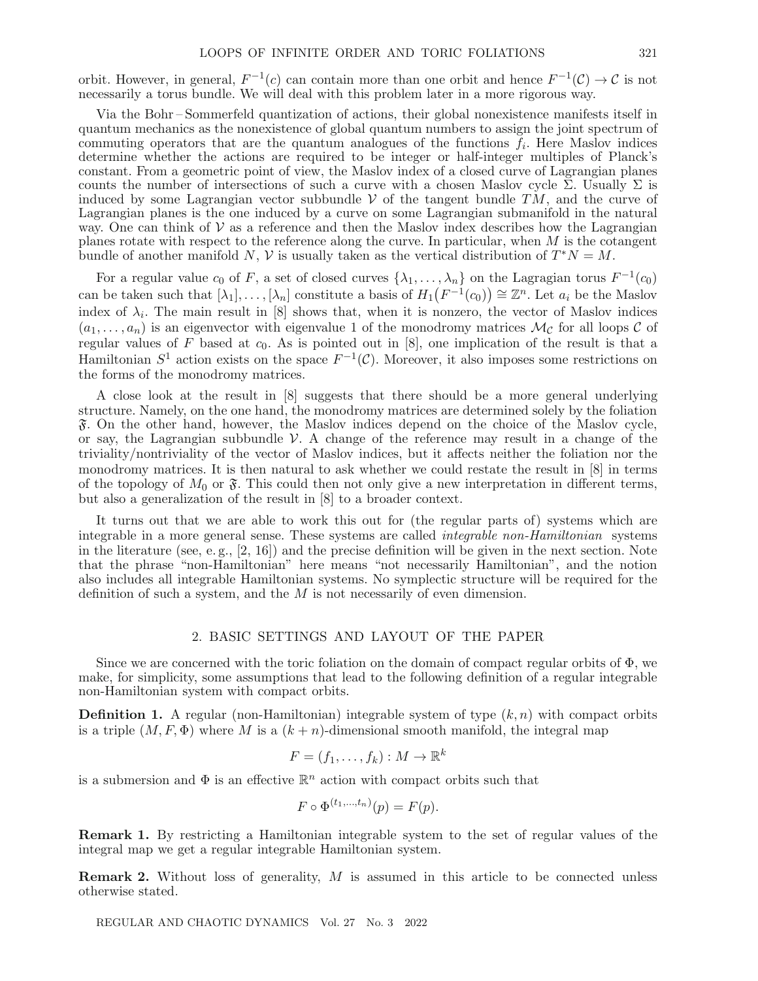orbit. However, in general,  $F^{-1}(c)$  can contain more than one orbit and hence  $F^{-1}(\mathcal{C}) \to \mathcal{C}$  is not necessarily a torus bundle. We will deal with this problem later in a more rigorous way.

Via the Bohr – Sommerfeld quantization of actions, their global nonexistence manifests itself in quantum mechanics as the nonexistence of global quantum numbers to assign the joint spectrum of commuting operators that are the quantum analogues of the functions  $f_i$ . Here Maslov indices determine whether the actions are required to be integer or half-integer multiples of Planck's constant. From a geometric point of view, the Maslov index of a closed curve of Lagrangian planes counts the number of intersections of such a curve with a chosen Maslov cycle  $\Sigma$ . Usually  $\Sigma$  is induced by some Lagrangian vector subbundle V of the tangent bundle  $TM$ , and the curve of Lagrangian planes is the one induced by a curve on some Lagrangian submanifold in the natural way. One can think of  $\mathcal V$  as a reference and then the Maslov index describes how the Lagrangian planes rotate with respect to the reference along the curve. In particular, when M is the cotangent bundle of another manifold N, V is usually taken as the vertical distribution of  $T^*N = M$ .

For a regular value  $c_0$  of F, a set of closed curves  $\{\lambda_1,\ldots,\lambda_n\}$  on the Lagragian torus  $F^{-1}(c_0)$ can be taken such that  $[\lambda_1], \ldots, [\lambda_n]$  constitute a basis of  $H_1(F^{-1}(c_0)) \cong \mathbb{Z}^n$ . Let  $a_i$  be the Maslov index of  $\lambda_i$ . The main result in [8] shows that, when it is nonzero, the vector of Maslov indices  $(a_1,\ldots,a_n)$  is an eigenvector with eigenvalue 1 of the monodromy matrices  $\mathcal{M}_{\mathcal{C}}$  for all loops  $\mathcal C$  of regular values of F based at  $c_0$ . As is pointed out in [8], one implication of the result is that a Hamiltonian  $S^1$  action exists on the space  $F^{-1}(\mathcal{C})$ . Moreover, it also imposes some restrictions on the forms of the monodromy matrices.

A close look at the result in [8] suggests that there should be a more general underlying structure. Namely, on the one hand, the monodromy matrices are determined solely by the foliation F. On the other hand, however, the Maslov indices depend on the choice of the Maslov cycle, or say, the Lagrangian subbundle  $\mathcal V$ . A change of the reference may result in a change of the triviality/nontriviality of the vector of Maslov indices, but it affects neither the foliation nor the monodromy matrices. It is then natural to ask whether we could restate the result in [8] in terms of the topology of  $M_0$  or  $\mathfrak{F}$ . This could then not only give a new interpretation in different terms, but also a generalization of the result in [8] to a broader context.

It turns out that we are able to work this out for (the regular parts of) systems which are integrable in a more general sense. These systems are called integrable non-Hamiltonian systems in the literature (see, e.g.,  $[2, 16]$ ) and the precise definition will be given in the next section. Note that the phrase "non-Hamiltonian" here means "not necessarily Hamiltonian", and the notion also includes all integrable Hamiltonian systems. No symplectic structure will be required for the definition of such a system, and the  $M$  is not necessarily of even dimension.

#### 2. BASIC SETTINGS AND LAYOUT OF THE PAPER

Since we are concerned with the toric foliation on the domain of compact regular orbits of  $\Phi$ , we make, for simplicity, some assumptions that lead to the following definition of a regular integrable non-Hamiltonian system with compact orbits.

**Definition 1.** A regular (non-Hamiltonian) integrable system of type  $(k, n)$  with compact orbits is a triple  $(M, F, \Phi)$  where M is a  $(k + n)$ -dimensional smooth manifold, the integral map

$$
F = (f_1, \ldots, f_k) : M \to \mathbb{R}^k
$$

is a submersion and  $\Phi$  is an effective  $\mathbb{R}^n$  action with compact orbits such that

$$
F \circ \Phi^{(t_1,\ldots,t_n)}(p) = F(p).
$$

**Remark 1.** By restricting a Hamiltonian integrable system to the set of regular values of the integral map we get a regular integrable Hamiltonian system.

**Remark 2.** Without loss of generality, M is assumed in this article to be connected unless otherwise stated.

REGULAR AND CHAOTIC DYNAMICS Vol. 27 No. 3 2022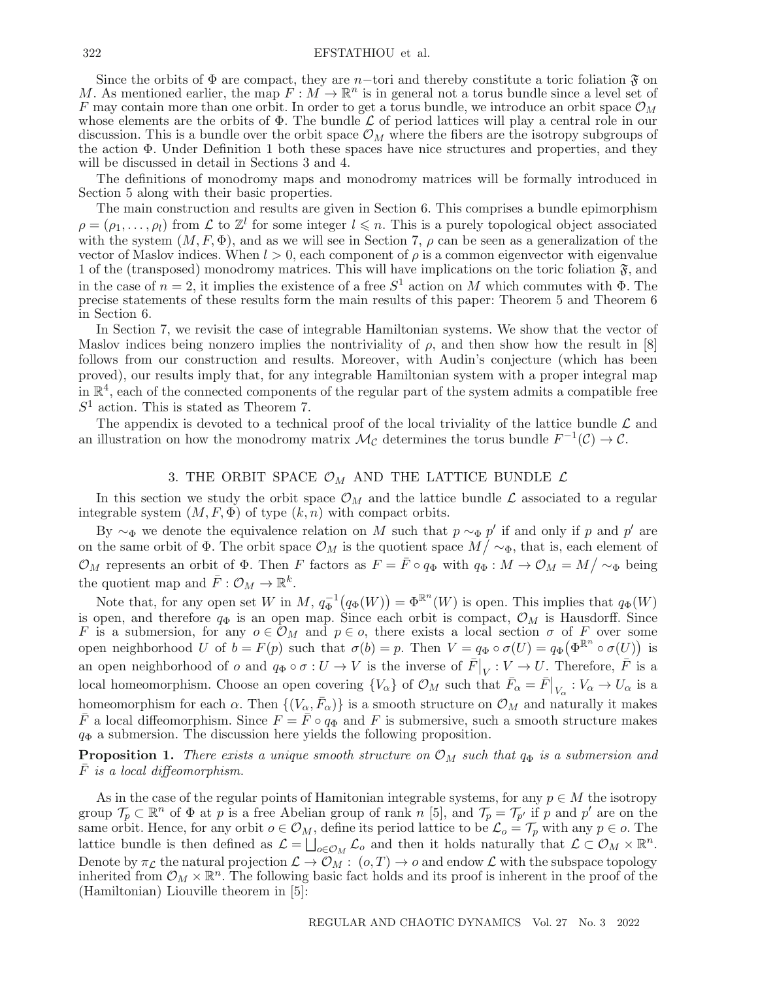Since the orbits of  $\Phi$  are compact, they are n-tori and thereby constitute a toric foliation  $\mathfrak{F}$  on M. As mentioned earlier, the map  $F : M \to \mathbb{R}^n$  is in general not a torus bundle since a level set of F may contain more than one orbit. In order to get a torus bundle, we introduce an orbit space  $\mathcal{O}_M$ whose elements are the orbits of  $\Phi$ . The bundle  $\mathcal L$  of period lattices will play a central role in our discussion. This is a bundle over the orbit space  $\mathcal{O}_M$  where the fibers are the isotropy subgroups of the action Φ. Under Definition 1 both these spaces have nice structures and properties, and they will be discussed in detail in Sections 3 and 4.

The definitions of monodromy maps and monodromy matrices will be formally introduced in Section 5 along with their basic properties.

The main construction and results are given in Section 6. This comprises a bundle epimorphism  $\rho = (\rho_1, \ldots, \rho_l)$  from  $\mathcal L$  to  $\mathbb Z^l$  for some integer  $l \leqslant n$ . This is a purely topological object associated with the system  $(M, F, \Phi)$ , and as we will see in Section 7,  $\rho$  can be seen as a generalization of the vector of Maslov indices. When  $l > 0$ , each component of  $\rho$  is a common eigenvector with eigenvalue 1 of the (transposed) monodromy matrices. This will have implications on the toric foliation  $\mathfrak{F}$ , and in the case of  $n = 2$ , it implies the existence of a free  $S^1$  action on M which commutes with  $\Phi$ . The precise statements of these results form the main results of this paper: Theorem 5 and Theorem 6 in Section 6.

In Section 7, we revisit the case of integrable Hamiltonian systems. We show that the vector of Maslov indices being nonzero implies the nontriviality of  $\rho$ , and then show how the result in [8] follows from our construction and results. Moreover, with Audin's conjecture (which has been proved), our results imply that, for any integrable Hamiltonian system with a proper integral map in  $\mathbb{R}^4$ , each of the connected components of the regular part of the system admits a compatible free  $S<sup>1</sup>$  action. This is stated as Theorem 7.

The appendix is devoted to a technical proof of the local triviality of the lattice bundle  $\mathcal L$  and an illustration on how the monodromy matrix  $\mathcal{M}_{\mathcal{C}}$  determines the torus bundle  $F^{-1}(\mathcal{C}) \to \mathcal{C}$ .

## 3. THE ORBIT SPACE  $\mathcal{O}_M$  AND THE LATTICE BUNDLE  $\mathcal L$

In this section we study the orbit space  $\mathcal{O}_M$  and the lattice bundle  $\mathcal L$  associated to a regular integrable system  $(M, F, \Phi)$  of type  $(k, n)$  with compact orbits.

By  $\sim_{\Phi}$  we denote the equivalence relation on M such that  $p \sim_{\Phi} p'$  if and only if p and p' are on the same orbit of  $\Phi$ . The orbit space  $\mathcal{O}_M$  is the quotient space  $M/\sim_{\Phi}$ , that is, each element of  $\mathcal{O}_M$  represents an orbit of  $\Phi$ . Then F factors as  $F = \bar{F} \circ q_{\Phi}$  with  $q_{\Phi}: M \to \mathcal{O}_M = M / {\sim_{\Phi}}$  being the quotient map and  $\bar{F}: \mathcal{O}_M \to \mathbb{R}^k$ .

Note that, for any open set W in  $M$ ,  $q_{\Phi}^{-1}(q_{\Phi}(W)) = \Phi^{\mathbb{R}^n}(W)$  is open. This implies that  $q_{\Phi}(W)$ is open, and therefore  $q_{\Phi}$  is an open map. Since each orbit is compact,  $\mathcal{O}_M$  is Hausdorff. Since F is a submersion, for any  $o \in \mathcal{O}_M$  and  $p \in o$ , there exists a local section  $\sigma$  of F over some open neighborhood U of  $b = F(p)$  such that  $\sigma(b) = p$ . Then  $V = q_\Phi \circ \sigma(U) = q_\Phi(\Phi^{\mathbb{R}^n} \circ \sigma(U))$  is an open neighborhood of  $o$  and  $q_{\Phi} \circ \sigma : U \to V$  is the inverse of  $\overline{F}|_V : V \to U$ . Therefore,  $\overline{F}$  is a local homeomorphism. Choose an open covering  $\{V_{\alpha}\}\$  of  $\mathcal{O}_M$  such that  $\bar{F}_{\alpha} = \bar{F}|_{V_{\alpha}} : V_{\alpha} \to U_{\alpha}$  is a homeomorphism for each  $\alpha$ . Then  $\{(V_\alpha, \bar{F}_\alpha)\}\$ is a smooth structure on  $\mathcal{O}_M$  and naturally it makes  $\overline{F}$  a local diffeomorphism. Since  $F = \overline{F} \circ q_{\Phi}$  and F is submersive, such a smooth structure makes  $q_{\Phi}$  a submersion. The discussion here yields the following proposition.

**Proposition 1.** There exists a unique smooth structure on  $\mathcal{O}_M$  such that  $q_{\Phi}$  is a submersion and  $F$  is a local diffeomorphism.

As in the case of the regular points of Hamitonian integrable systems, for any  $p \in M$  the isotropy group  $\mathcal{T}_p \subset \mathbb{R}^n$  of  $\Phi$  at p is a free Abelian group of rank n [5], and  $\mathcal{T}_p = \mathcal{T}_{p'}$  if p and p' are on the same orbit. Hence, for any orbit  $o \in \mathcal{O}_M$ , define its period lattice to be  $\mathcal{L}_o = \mathcal{T}_p$  with any  $p \in o$ . The lattice bundle is then defined as  $\mathcal{L} = \bigsqcup_{o \in \mathcal{O}_M} \mathcal{L}_o$  and then it holds naturally that  $\mathcal{L} \subset \mathcal{O}_M \times \mathbb{R}^n$ . Denote by  $\pi_{\mathcal{L}}$  the natural projection  $\mathcal{L}\to\mathcal{O}_M$ :  $(o,T)\to o$  and endow  $\mathcal{L}$  with the subspace topology inherited from  $\mathcal{O}_M \times \mathbb{R}^n$ . The following basic fact holds and its proof is inherent in the proof of the (Hamiltonian) Liouville theorem in [5]: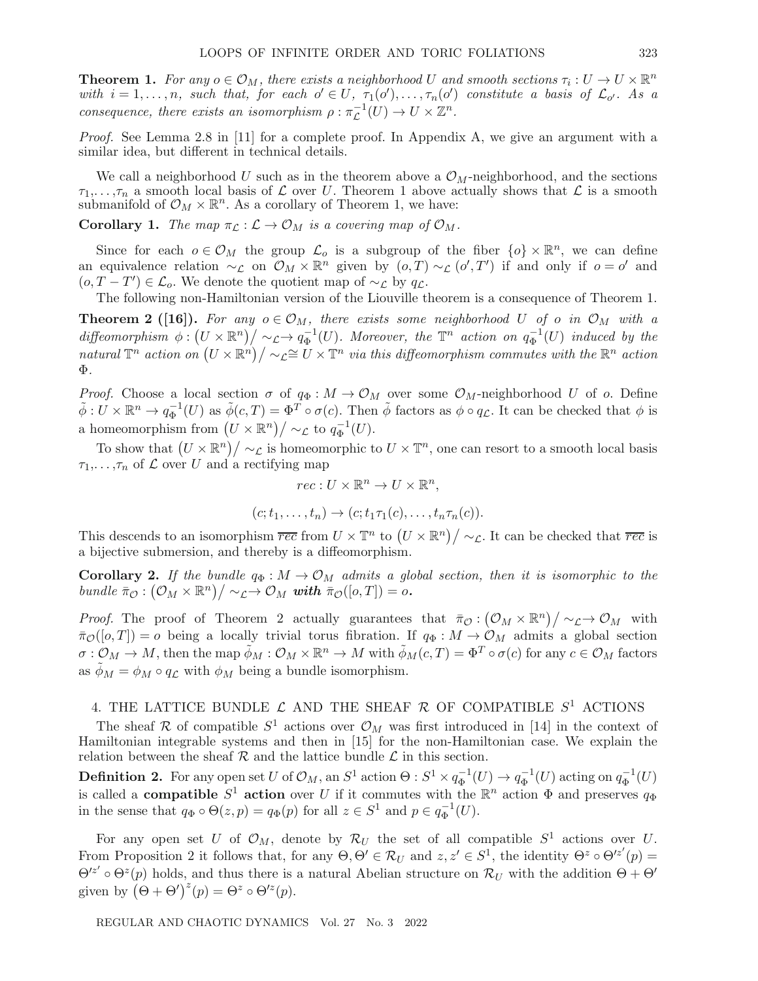**Theorem 1.** For any  $o \in \mathcal{O}_M$ , there exists a neighborhood U and smooth sections  $\tau_i : U \to U \times \mathbb{R}^n$ with  $i = 1, \ldots, n$ , such that, for each  $o' \in U$ ,  $\tau_1(o'), \ldots, \tau_n(o')$  constitute a basis of  $\mathcal{L}_{o'}$ . As a consequence, there exists an isomorphism  $\rho : \pi_{\mathcal{L}}^{-1}(U) \to U \times \mathbb{Z}^n$ .

Proof. See Lemma 2.8 in [11] for a complete proof. In Appendix A, we give an argument with a similar idea, but different in technical details.

We call a neighborhood U such as in the theorem above a  $\mathcal{O}_M$ -neighborhood, and the sections  $\tau_1,\ldots,\tau_n$  a smooth local basis of  $\mathcal L$  over U. Theorem 1 above actually shows that  $\mathcal L$  is a smooth submanifold of  $\mathcal{O}_M \times \mathbb{R}^n$ . As a corollary of Theorem 1, we have:

**Corollary 1.** The map  $\pi_{\mathcal{L}} : \mathcal{L} \to \mathcal{O}_M$  is a covering map of  $\mathcal{O}_M$ .

Since for each  $o \in \mathcal{O}_M$  the group  $\mathcal{L}_o$  is a subgroup of the fiber  $\{o\} \times \mathbb{R}^n$ , we can define an equivalence relation  $\sim_{\mathcal{L}}$  on  $\mathcal{O}_M \times \mathbb{R}^n$  given by  $(o,T) \sim_{\mathcal{L}} (o',T')$  if and only if  $o = o'$  and  $(o, T - T') \in \mathcal{L}_o$ . We denote the quotient map of  $\sim_{\mathcal{L}}$  by  $q_{\mathcal{L}}$ .

The following non-Hamiltonian version of the Liouville theorem is a consequence of Theorem 1.

**Theorem 2 ([16]).** For any  $o \in \mathcal{O}_M$ , there exists some neighborhood U of o in  $\mathcal{O}_M$  with a diffeomorphism  $\phi: (U \times \mathbb{R}^n) / \sim_L \to q_\Phi^{-1}(U)$ . Moreover, the  $\mathbb{T}^n$  action on  $q_\Phi^{-1}(U)$  induced by the natural  $\mathbb{T}^n$  action on  $(U \times \mathbb{R}^n)/\sim_L \cong U \times \mathbb{T}^n$  via this diffeomorphism commutes with the  $\mathbb{R}^n$  action Φ.

*Proof.* Choose a local section  $\sigma$  of  $q_{\Phi}: M \to \mathcal{O}_M$  over some  $\mathcal{O}_M$ -neighborhood U of o. Define  $\tilde{\phi}: U \times \mathbb{R}^n \to q_{\Phi}^{-1}(U)$  as  $\tilde{\phi}(c,T) = \Phi^T \circ \sigma(c)$ . Then  $\tilde{\phi}$  factors as  $\phi \circ q_{\mathcal{L}}$ . It can be checked that  $\phi$  is a homeomorphism from  $(U \times \mathbb{R}^n)/\sim_{\mathcal{L}}$  to  $q_{\Phi}^{-1}(U)$ .

To show that  $(U \times \mathbb{R}^n) / \sim_{\mathcal{L}}$  is homeomorphic to  $U \times \mathbb{T}^n$ , one can resort to a smooth local basis  $\tau_1, \ldots, \tau_n$  of  $\mathcal L$  over U and a rectifying map

$$
rec: U \times \mathbb{R}^n \to U \times \mathbb{R}^n,
$$
  

$$
(c; t_1, \dots, t_n) \to (c; t_1 \tau_1(c), \dots, t_n \tau_n(c)).
$$

This descends to an isomorphism  $\overline{rec}$  from  $U \times \mathbb{T}^n$  to  $(U \times \mathbb{R}^n)/\sim_{\mathcal{L}}$ . It can be checked that  $\overline{rec}$  is a bijective submersion, and thereby is a diffeomorphism.

**Corollary 2.** If the bundle  $q_{\Phi}: M \to \mathcal{O}_M$  admits a global section, then it is isomorphic to the bundle  $\bar{\pi}_{\mathcal{O}}: (\mathcal{O}_M \times \mathbb{R}^n) / \sim_{\mathcal{L}} \to \mathcal{O}_M$  with  $\bar{\pi}_{\mathcal{O}}([o,T]) = o$ .

*Proof.* The proof of Theorem 2 actually guarantees that  $\bar{\pi}_{\mathcal{O}}: (\mathcal{O}_M \times \mathbb{R}^n)/\sim_{\mathcal{L}} \to \mathcal{O}_M$  with  $\bar{\pi}_{\mathcal{O}}([o,T]) = o$  being a locally trivial torus fibration. If  $q_{\Phi}: M \to \mathcal{O}_M$  admits a global section  $\sigma: \mathcal{O}_M \to M$ , then the map  $\tilde{\phi}_M: \mathcal{O}_M \times \mathbb{R}^n \to M$  with  $\tilde{\phi}_M(c,T)=\Phi^T \circ \sigma(c)$  for any  $c \in \mathcal{O}_M$  factors as  $\phi_M = \phi_M \circ q_{\mathcal{L}}$  with  $\phi_M$  being a bundle isomorphism.

## 4. THE LATTICE BUNDLE  $\mathcal L$  and the sheaf  $\mathcal R$  of compatible  $S^1$  actions

The sheaf R of compatible  $S^1$  actions over  $\mathcal{O}_M$  was first introduced in [14] in the context of Hamiltonian integrable systems and then in [15] for the non-Hamiltonian case. We explain the relation between the sheaf  $R$  and the lattice bundle  $\mathcal L$  in this section.

**Definition 2.** For any open set U of  $\mathcal{O}_M$ , an  $S^1$  action  $\Theta: S^1 \times q_{\Phi}^{-1}(U) \to q_{\Phi}^{-1}(U)$  acting on  $q_{\Phi}^{-1}(U)$ is called a **compatible**  $S^1$  **action** over U if it commutes with the  $\mathbb{R}^n$  action  $\Phi$  and preserves  $q_{\Phi}$ in the sense that  $q_{\Phi} \circ \Theta(z, p) = q_{\Phi}(p)$  for all  $z \in S^1$  and  $p \in q_{\Phi}^{-1}(U)$ .

For any open set U of  $\mathcal{O}_M$ , denote by  $\mathcal{R}_U$  the set of all compatible  $S^1$  actions over U. From Proposition 2 it follows that, for any  $\Theta, \Theta' \in \mathcal{R}_U$  and  $z, z' \in S^1$ , the identity  $\Theta^z \circ \Theta'^{z'}(p) =$  $\Theta'^{z'} \circ \Theta^{z}(p)$  holds, and thus there is a natural Abelian structure on  $\mathcal{R}_U$  with the addition  $\Theta + \Theta'$ given by  $(\Theta + \Theta')^{z}(p) = \Theta^{z} \circ \Theta'^{z}(p)$ .

REGULAR AND CHAOTIC DYNAMICS Vol. 27 No. 3 2022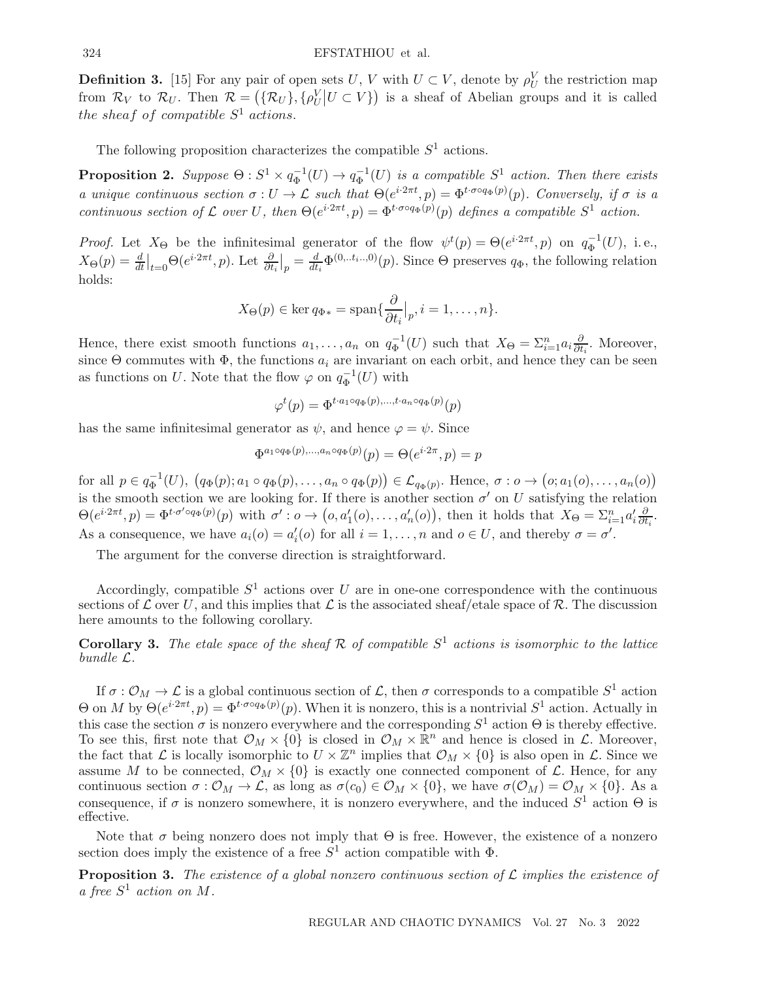**Definition 3.** [15] For any pair of open sets U, V with  $U \subset V$ , denote by  $\rho_U^V$  the restriction map from  $\mathcal{R}_V$  to  $\mathcal{R}_U$ . Then  $\mathcal{R} = (\{\mathcal{R}_U\}, {\rho^V_U | U \subset V\})$  is a sheaf of Abelian groups and it is called the sheaf of compatible  $S^1$  actions.

The following proposition characterizes the compatible  $S^1$  actions.

**Proposition 2.** Suppose  $\Theta: S^1 \times q_{\Phi}^{-1}(U) \to q_{\Phi}^{-1}(U)$  is a compatible  $S^1$  action. Then there exists a unique continuous section  $\sigma: U \to \mathcal{L}$  such that  $\Theta(e^{i2\pi t}, p) = \Phi^{t \cdot \sigma \circ q_{\Phi}(p)}(p)$ . Conversely, if  $\sigma$  is a continuous section of L over U, then  $\Theta(e^{i\cdot 2\pi t}, p) = \Phi^{t \cdot \sigma \circ q_{\Phi}(p)}(p)$  defines a compatible  $S^1$  action.

*Proof.* Let  $X_{\Theta}$  be the infinitesimal generator of the flow  $\psi^t(p) = \Theta(e^{i \cdot 2\pi t}, p)$  on  $q_{\Phi}^{-1}(U)$ , i.e.,  $X_{\Theta}(p) = \frac{d}{dt}\Big|_{t=0} \Theta(e^{i\cdot 2\pi t}, p)$ . Let  $\frac{\partial}{\partial t_i}\Big|_p = \frac{d}{dt_i} \Phi^{(0...t_i...0)}(p)$ . Since  $\Theta$  preserves  $q_{\Phi}$ , the following relation holds:

$$
X_{\Theta}(p) \in \ker q_{\Phi*} = \operatorname{span} \{ \frac{\partial}{\partial t_i} \big|_p, i = 1, \dots, n \}.
$$

Hence, there exist smooth functions  $a_1, \ldots, a_n$  on  $q_{\Phi}^{-1}(U)$  such that  $X_{\Theta} = \sum_{i=1}^n a_i \frac{\partial}{\partial t}$  $\frac{\partial}{\partial t_i}$ . Moreover, since  $\Theta$  commutes with  $\Phi$ , the functions  $a_i$  are invariant on each orbit, and hence they can be seen as functions on U. Note that the flow  $\varphi$  on  $q_{\Phi}^{-1}(U)$  with

$$
\varphi^t(p) = \Phi^{t \cdot a_1 \circ q_\Phi(p), \dots, t \cdot a_n \circ q_\Phi(p)}(p)
$$

has the same infinitesimal generator as  $\psi$ , and hence  $\varphi = \psi$ . Since

$$
\Phi^{a_1 \circ q_\Phi(p),...,a_n \circ q_\Phi(p)}(p) = \Theta(e^{i \cdot 2\pi}, p) = p
$$

for all  $p \in q_{\Phi}^{-1}(U)$ ,  $(q_{\Phi}(p); a_1 \circ q_{\Phi}(p), \ldots, a_n \circ q_{\Phi}(p)) \in \mathcal{L}_{q_{\Phi}(p)}$ . Hence,  $\sigma : o \to (o; a_1(o), \ldots, a_n(o))$ is the smooth section we are looking for. If there is another section  $\sigma'$  on U satisfying the relation  $\Theta(e^{i\cdot 2\pi t}, p) = \Phi^{t \cdot \sigma' \circ q_{\Phi}(p)}(p)$  with  $\sigma' : o \to (o, a'_1(o), \ldots, a'_n(o)),$  then it holds that  $X_{\Theta} = \sum_{i=1}^n a'_i \frac{\partial}{\partial t}$  $\frac{\partial}{\partial t_i}$ . As a consequence, we have  $a_i(o) = a'_i(o)$  for all  $i = 1, ..., n$  and  $o \in U$ , and thereby  $\sigma = \sigma'$ .

The argument for the converse direction is straightforward.

Accordingly, compatible  $S^1$  actions over U are in one-one correspondence with the continuous sections of  $\mathcal L$  over U, and this implies that  $\mathcal L$  is the associated sheaf/etale space of R. The discussion here amounts to the following corollary.

**Corollary 3.** The etale space of the sheaf  $\mathcal{R}$  of compatible  $S^1$  actions is isomorphic to the lattice bundle L.

If  $\sigma: \mathcal{O}_M \to \mathcal{L}$  is a global continuous section of  $\mathcal{L}$ , then  $\sigma$  corresponds to a compatible  $S^1$  action  $\Theta$  on M by  $\Theta(e^{i\cdot 2\pi t}, p) = \Phi^{t \cdot \sigma \circ q_{\Phi}(p)}(p)$ . When it is nonzero, this is a nontrivial  $S^1$  action. Actually in this case the section  $\sigma$  is nonzero everywhere and the corresponding  $S^1$  action  $\Theta$  is thereby effective. To see this, first note that  $\mathcal{O}_M \times \{0\}$  is closed in  $\mathcal{O}_M \times \mathbb{R}^n$  and hence is closed in  $\mathcal{L}$ . Moreover, the fact that  $\mathcal L$  is locally isomorphic to  $U \times \mathbb Z^n$  implies that  $\mathcal O_M \times \{0\}$  is also open in  $\mathcal L$ . Since we assume M to be connected,  $\mathcal{O}_M \times \{0\}$  is exactly one connected component of  $\mathcal{L}$ . Hence, for any continuous section  $\sigma : \mathcal{O}_M \to \mathcal{L}$ , as long as  $\sigma(c_0) \in \mathcal{O}_M \times \{0\}$ , we have  $\sigma(\mathcal{O}_M) = \mathcal{O}_M \times \{0\}$ . As a consequence, if  $\sigma$  is nonzero somewhere, it is nonzero everywhere, and the induced  $S^1$  action  $\Theta$  is effective.

Note that  $\sigma$  being nonzero does not imply that  $\Theta$  is free. However, the existence of a nonzero section does imply the existence of a free  $S^1$  action compatible with  $\Phi$ .

**Proposition 3.** The existence of a global nonzero continuous section of  $\mathcal{L}$  implies the existence of a free  $S^1$  action on M.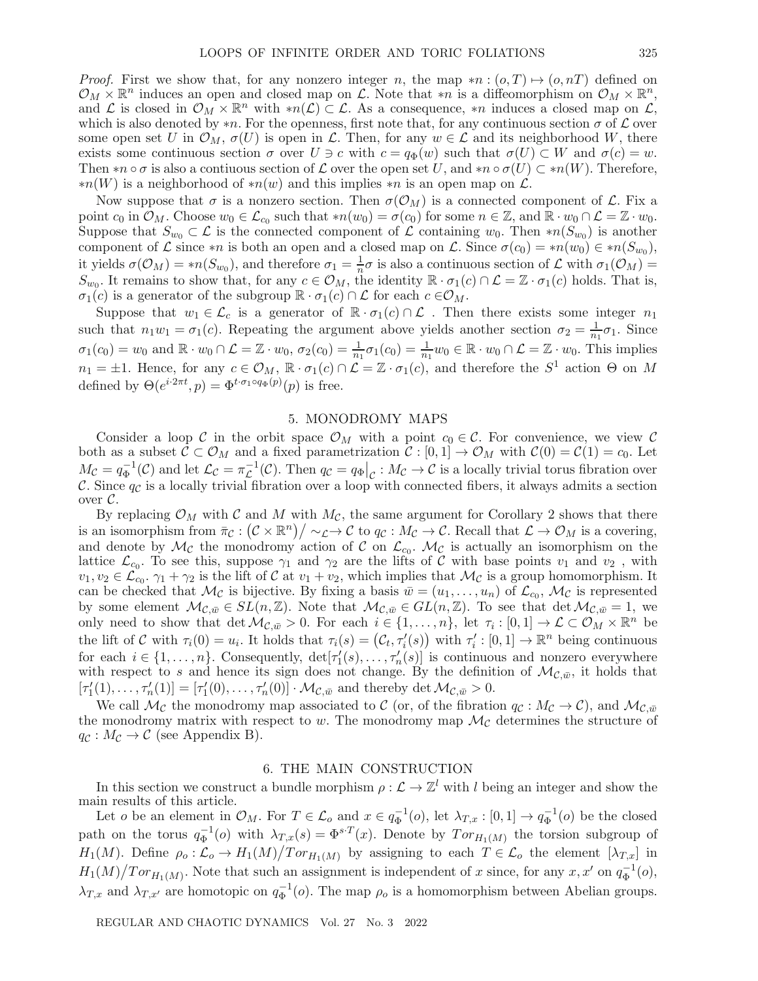*Proof.* First we show that, for any nonzero integer n, the map  $*n:(o,T) \mapsto (o,nT)$  defined on  $\mathcal{O}_M \times \mathbb{R}^n$  induces an open and closed map on  $\mathcal{L}$ . Note that \*n is a diffeomorphism on  $\mathcal{O}_M \times \mathbb{R}^n$ , and L is closed in  $\mathcal{O}_M \times \mathbb{R}^n$  with  $*n(\mathcal{L}) \subset \mathcal{L}$ . As a consequence, \*n induces a closed map on  $\mathcal{L}$ , which is also denoted by \*n. For the openness, first note that, for any continuous section  $\sigma$  of  $\mathcal L$  over some open set U in  $\mathcal{O}_M$ ,  $\sigma(U)$  is open in L. Then, for any  $w \in \mathcal{L}$  and its neighborhood W, there exists some continuous section  $\sigma$  over  $U \ni c$  with  $c = q_{\Phi}(w)$  such that  $\sigma(U) \subset W$  and  $\sigma(c) = w$ . Then  $*n \circ \sigma$  is also a contiuous section of  $\mathcal L$  over the open set U, and  $*n \circ \sigma(U) \subset *n(W)$ . Therefore,  $*n(W)$  is a neighborhood of  $*n(w)$  and this implies  $*n$  is an open map on  $\mathcal{L}$ .

Now suppose that  $\sigma$  is a nonzero section. Then  $\sigma(\mathcal{O}_M)$  is a connected component of  $\mathcal{L}$ . Fix a point  $c_0$  in  $\mathcal{O}_M$ . Choose  $w_0 \in \mathcal{L}_{c_0}$  such that  $*n(w_0) = \sigma(c_0)$  for some  $n \in \mathbb{Z}$ , and  $\mathbb{R} \cdot w_0 \cap \mathcal{L} = \mathbb{Z} \cdot w_0$ . Suppose that  $S_{w_0} \subset \mathcal{L}$  is the connected component of  $\mathcal L$  containing  $w_0$ . Then \*n( $S_{w_0}$ ) is another component of  $\mathcal L$  since \*n is both an open and a closed map on  $\mathcal L$ . Since  $\sigma(c_0) = *n(w_0) \in *n(S_{w_0}),$ it yields  $\sigma(\mathcal{O}_M) = *n(S_{w_0})$ , and therefore  $\sigma_1 = \frac{1}{n}\sigma$  is also a continuous section of  $\mathcal L$  with  $\sigma_1(\mathcal{O}_M)$  $S_{w_0}$ . It remains to show that, for any  $c \in \mathcal{O}_M$ , the identity  $\mathbb{R} \cdot \sigma_1(c) \cap \mathcal{L} = \mathbb{Z} \cdot \sigma_1(c)$  holds. That is,  $\sigma_1(c)$  is a generator of the subgroup  $\mathbb{R} \cdot \sigma_1(c) \cap \mathcal{L}$  for each  $c \in \mathcal{O}_M$ .

Suppose that  $w_1 \in \mathcal{L}_c$  is a generator of  $\mathbb{R} \cdot \sigma_1(c) \cap \mathcal{L}$ . Then there exists some integer  $n_1$ such that  $n_1w_1 = \sigma_1(c)$ . Repeating the argument above yields another section  $\sigma_2 = \frac{1}{n_1}\sigma_1$ . Since  $\sigma_1(c_0) = w_0$  and  $\mathbb{R} \cdot w_0 \cap \mathcal{L} = \mathbb{Z} \cdot w_0$ ,  $\sigma_2(c_0) = \frac{1}{n_1} \sigma_1(c_0) = \frac{1}{n_1} w_0 \in \mathbb{R} \cdot w_0 \cap \mathcal{L} = \mathbb{Z} \cdot w_0$ . This implies  $n_1 = \pm 1$ . Hence, for any  $c \in \mathcal{O}_M$ ,  $\mathbb{R} \cdot \sigma_1(c) \cap \mathcal{L} = \mathbb{Z} \cdot \sigma_1(c)$ , and therefore the  $S^1$  action  $\Theta$  on M defined by  $\Theta(e^{i \cdot 2\pi t}, p) = \Phi^{t \cdot \sigma_1 \circ q_{\Phi}(p)}(p)$  is free.

#### 5. MONODROMY MAPS

Consider a loop C in the orbit space  $\mathcal{O}_M$  with a point  $c_0 \in \mathcal{C}$ . For convenience, we view C both as a subset  $C \subset \mathcal{O}_M$  and a fixed parametrization  $C : [0,1] \to \mathcal{O}_M$  with  $C(0) = C(1) = c_0$ . Let  $M_{\mathcal{C}} = q_{\Phi}^{-1}(\mathcal{C})$  and let  $\mathcal{L}_{\mathcal{C}} = \pi_{\mathcal{L}}^{-1}(\mathcal{C})$ . Then  $q_{\mathcal{C}} = q_{\Phi}|_{\mathcal{C}} : M_{\mathcal{C}} \to \mathcal{C}$  is a locally trivial torus fibration over C. Since  $q_c$  is a locally trivial fibration over a loop with connected fibers, it always admits a section over  $\mathcal{C}$ .

By replacing  $\mathcal{O}_M$  with C and M with  $M_{\mathcal{C}}$ , the same argument for Corollary 2 shows that there is an isomorphism from  $\bar{\pi}_{\mathcal{C}} : (\mathcal{C} \times \mathbb{R}^n)/\sim_{\mathcal{L}} \to \mathcal{C}$  to  $q_{\mathcal{C}} : M_{\mathcal{C}} \to \mathcal{C}$ . Recall that  $\mathcal{L} \to \mathcal{O}_M$  is a covering, and denote by  $\mathcal{M}_{\mathcal{C}}$  the monodromy action of  $\mathcal{C}$  on  $\mathcal{L}_{c_0}$ .  $\mathcal{M}_{\mathcal{C}}$  is actually an isomorphism on the lattice  $\mathcal{L}_{c_0}$ . To see this, suppose  $\gamma_1$  and  $\gamma_2$  are the lifts of C with base points  $v_1$  and  $v_2$ , with  $v_1, v_2 \in \mathcal{L}_{c_0}$ .  $\gamma_1 + \gamma_2$  is the lift of C at  $v_1 + v_2$ , which implies that  $\mathcal{M}_{\mathcal{C}}$  is a group homomorphism. It can be checked that  $\mathcal{M}_{\mathcal{C}}$  is bijective. By fixing a basis  $\bar{w} = (u_1, \ldots, u_n)$  of  $\mathcal{L}_{c_0}, \mathcal{M}_{\mathcal{C}}$  is represented by some element  $\mathcal{M}_{\mathcal{C},\bar{w}}\in SL(n,\mathbb{Z})$ . Note that  $\mathcal{M}_{\mathcal{C},\bar{w}}\in GL(n,\mathbb{Z})$ . To see that  $\det\mathcal{M}_{\mathcal{C},\bar{w}}=1$ , we only need to show that det  $\mathcal{M}_{\mathcal{C},\bar{w}} > 0$ . For each  $i \in \{1,\ldots,n\}$ , let  $\tau_i : [0,1] \to \mathcal{L} \subset \mathcal{O}_M \times \mathbb{R}^n$  be the lift of C with  $\tau_i(0) = u_i$ . It holds that  $\tau_i(s) = (\mathcal{C}_t, \tau'_i(s))$  with  $\tau'_i : [0,1] \to \mathbb{R}^n$  being continuous for each  $i \in \{1, \ldots, n\}$ . Consequently,  $\det[\tau_1'(s), \ldots, \tau_n'(s)]$  is continuous and nonzero everywhere with respect to s and hence its sign does not change. By the definition of  $\mathcal{M}_{\mathcal{C}, \bar{w}}$ , it holds that  $[\tau'_1(1),\ldots,\tau'_n(1)]=[\tau'_1(0),\ldots,\tau'_n(0)]\cdot \mathcal{M}_{\mathcal{C},\bar{w}}$  and thereby det  $\mathcal{M}_{\mathcal{C},\bar{w}}>0$ .

We call  $\mathcal{M}_{\mathcal{C}}$  the monodromy map associated to C (or, of the fibration  $q_{\mathcal{C}} : M_{\mathcal{C}} \to \mathcal{C}$ ), and  $\mathcal{M}_{\mathcal{C},\bar{w}}$ the monodromy matrix with respect to w. The monodromy map  $\mathcal{M}_{\mathcal{C}}$  determines the structure of  $q_{\mathcal{C}} : M_{\mathcal{C}} \to \mathcal{C}$  (see Appendix B).

### 6. THE MAIN CONSTRUCTION

In this section we construct a bundle morphism  $\rho : \mathcal{L} \to \mathbb{Z}^l$  with l being an integer and show the main results of this article.

Let *o* be an element in  $\mathcal{O}_M$ . For  $T \in \mathcal{L}_o$  and  $x \in q_{\Phi}^{-1}(o)$ , let  $\lambda_{T,x} : [0,1] \to q_{\Phi}^{-1}(o)$  be the closed path on the torus  $q_{\Phi}^{-1}(o)$  with  $\lambda_{T,x}(s)=\Phi^{s\cdot T}(x)$ . Denote by  $Tor_{H_1(M)}$  the torsion subgroup of  $H_1(M)$ . Define  $\rho_o: \mathcal{L}_o \to H_1(M)/Tor_{H_1(M)}$  by assigning to each  $T \in \mathcal{L}_o$  the element  $[\lambda_{T,x}]$  in  $H_1(M)/Tor_{H_1(M)}$ . Note that such an assignment is independent of x since, for any x, x' on  $q_{\Phi}^{-1}(o)$ ,  $\lambda_{T,x}$  and  $\lambda_{T,x'}$  are homotopic on  $q_{\Phi}^{-1}(o)$ . The map  $\rho_o$  is a homomorphism between Abelian groups.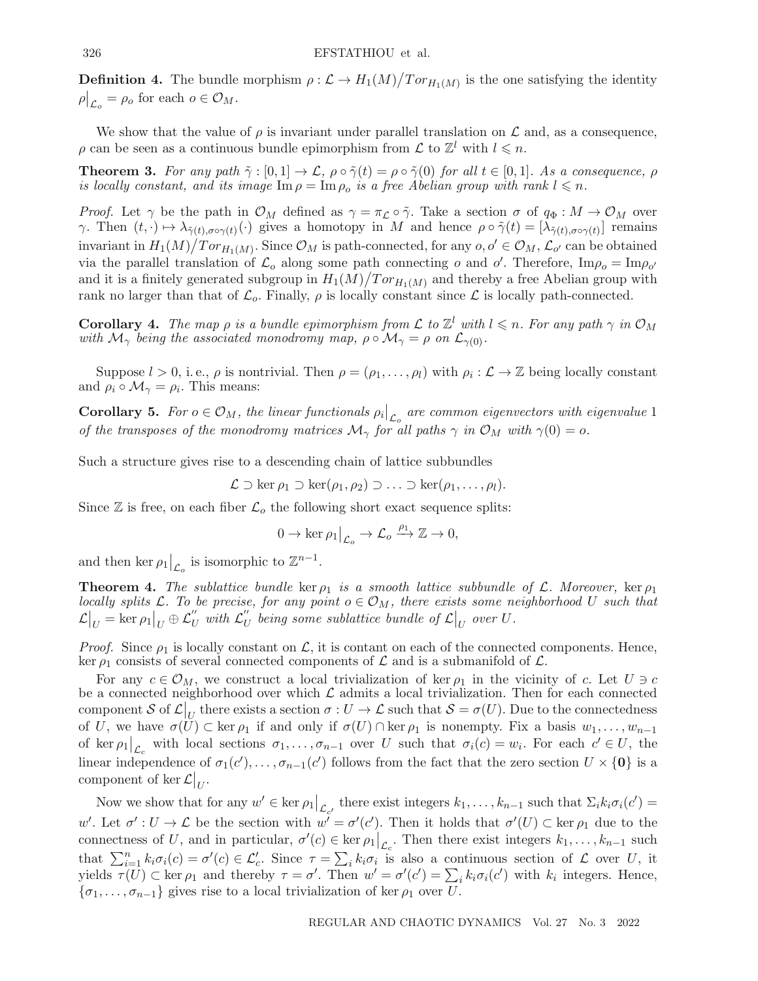**Definition 4.** The bundle morphism  $\rho : \mathcal{L} \to H_1(M)/Tor_{H_1(M)}$  is the one satisfying the identity  $\rho|_{\mathcal{L}_o} = \rho_o$  for each  $o \in \mathcal{O}_M$ .

We show that the value of  $\rho$  is invariant under parallel translation on  $\mathcal L$  and, as a consequence,  $\rho$  can be seen as a continuous bundle epimorphism from  $\mathcal{L}$  to  $\mathbb{Z}^l$  with  $l \leq n$ .

**Theorem 3.** For any path  $\tilde{\gamma} : [0, 1] \to \mathcal{L}$ ,  $\rho \circ \tilde{\gamma}(t) = \rho \circ \tilde{\gamma}(0)$  for all  $t \in [0, 1]$ . As a consequence,  $\rho$ is locally constant, and its image  $\text{Im}\,\rho = \text{Im}\,\rho_o$  is a free Abelian group with rank  $l \leq n$ .

*Proof.* Let  $\gamma$  be the path in  $\mathcal{O}_M$  defined as  $\gamma = \pi_{\mathcal{L}} \circ \tilde{\gamma}$ . Take a section  $\sigma$  of  $q_{\Phi}: M \to \mathcal{O}_M$  over γ. Then  $(t, \cdot) \mapsto \lambda_{\tilde{\gamma}(t),\sigma \circ \gamma(t)}(\cdot)$  gives a homotopy in M and hence  $\rho \circ \tilde{\gamma}(t)=[\lambda_{\tilde{\gamma}(t),\sigma \circ \gamma(t)}]$  remains invariant in  $H_1(M)/Tor_{H_1(M)}$ . Since  $\mathcal{O}_M$  is path-connected, for any  $o, o' \in \mathcal{O}_M$ ,  $\mathcal{L}_{o'}$  can be obtained via the parallel translation of  $\mathcal{L}_o$  along some path connecting o and o'. Therefore,  $\text{Im}\rho_o = \text{Im}\rho_{o'}$ and it is a finitely generated subgroup in  $H_1(M)/Tor_{H_1(M)}$  and thereby a free Abelian group with rank no larger than that of  $\mathcal{L}_o$ . Finally,  $\rho$  is locally constant since  $\mathcal{L}$  is locally path-connected.

**Corollary 4.** The map  $\rho$  is a bundle epimorphism from  $\mathcal{L}$  to  $\mathbb{Z}^l$  with  $l \leq n$ . For any path  $\gamma$  in  $\mathcal{O}_M$ with  $\mathcal{M}_{\gamma}$  being the associated monodromy map,  $\rho \circ \mathcal{M}_{\gamma} = \rho$  on  $\mathcal{L}_{\gamma(0)}$ .

Suppose  $l > 0$ , i.e.,  $\rho$  is nontrivial. Then  $\rho = (\rho_1, \ldots, \rho_l)$  with  $\rho_i : \mathcal{L} \to \mathbb{Z}$  being locally constant and  $\rho_i \circ \mathcal{M}_{\gamma} = \rho_i$ . This means:

**Corollary 5.** For  $o \in \mathcal{O}_M$ , the linear functionals  $\rho_i|_{\mathcal{L}_o}$  are common eigenvectors with eigenvalue 1 of the transposes of the monodromy matrices  $\mathcal{M}_{\gamma}$  for all paths  $\gamma$  in  $\mathcal{O}_M$  with  $\gamma(0) = o$ .

Such a structure gives rise to a descending chain of lattice subbundles

$$
\mathcal{L} \supset \ker \rho_1 \supset \ker(\rho_1, \rho_2) \supset \ldots \supset \ker(\rho_1, \ldots, \rho_l).
$$

Since  $\mathbb Z$  is free, on each fiber  $\mathcal L_o$  the following short exact sequence splits:

$$
0 \to \ker \rho_1|_{\mathcal{L}_o} \to \mathcal{L}_o \xrightarrow{\rho_1} \mathbb{Z} \to 0,
$$

and then ker  $\rho_1|_{\mathcal{L}_o}$  is isomorphic to  $\mathbb{Z}^{n-1}$ .

**Theorem 4.** The sublattice bundle ker  $\rho_1$  is a smooth lattice subbundle of L. Moreover, ker  $\rho_1$ locally splits L. To be precise, for any point  $o \in \mathcal{O}_M$ , there exists some neighborhood U such that  $\mathcal{L}|_U = \ker \rho_1|_U \oplus \mathcal{L}''_U$  with  $\mathcal{L}''_U$  being some sublattice bundle of  $\mathcal{L}|_U$  over  $U$ .

*Proof.* Since  $\rho_1$  is locally constant on  $\mathcal{L}$ , it is contant on each of the connected components. Hence, ker  $\rho_1$  consists of several connected components of  $\mathcal L$  and is a submanifold of  $\mathcal L$ .

For any  $c \in \mathcal{O}_M$ , we construct a local trivialization of ker  $\rho_1$  in the vicinity of c. Let  $U \ni c$ be a connected neighborhood over which  $\mathcal L$  admits a local trivialization. Then for each connected component S of  $\mathcal{L}|_U$  there exists a section  $\sigma: U \to \mathcal{L}$  such that  $\mathcal{S} = \sigma(U)$ . Due to the connectedness of U, we have  $\sigma(U) \subset \text{ker } \rho_1$  if and only if  $\sigma(U) \cap \text{ker } \rho_1$  is nonempty. Fix a basis  $w_1, \ldots, w_{n-1}$ of ker  $\rho_1|_{\mathcal{L}_c}$  with local sections  $\sigma_1, \ldots, \sigma_{n-1}$  over U such that  $\sigma_i(c) = w_i$ . For each  $c' \in U$ , the linear independence of  $\sigma_1(c'), \ldots, \sigma_{n-1}(c')$  follows from the fact that the zero section  $U \times \{0\}$  is a component of ker  $\mathcal{L}|_{U}$ .

Now we show that for any  $w' \in \ker \rho_1|_{\mathcal{L}_{c'}}$  there exist integers  $k_1, \ldots, k_{n-1}$  such that  $\Sigma_i k_i \sigma_i(c') =$ w'. Let  $\sigma': U \to \mathcal{L}$  be the section with  $w' = \sigma'(c')$ . Then it holds that  $\sigma'(U) \subset \text{ker } \rho_1$  due to the connectness of U, and in particular,  $\sigma'(c) \in \ker \rho_1|_{\mathcal{L}_c}$ . Then there exist integers  $k_1, \ldots, k_{n-1}$  such that  $\sum_{i=1}^n k_i \sigma_i(c) = \sigma'(c) \in \mathcal{L}'_c$ . Since  $\tau = \sum_i k_i \sigma_i$  is also a continuous section of  $\mathcal L$  over U, it yields  $\tau(U) \subset \text{ker } \rho_1$  and thereby  $\tau = \sigma'$ . Then  $w' = \sigma'(c') = \sum_i k_i \sigma_i(c')$  with  $k_i$  integers. Hence,  ${\lbrace \sigma_1,\ldots,\sigma_{n-1} \rbrace}$  gives rise to a local trivialization of ker  $\rho_1$  over U.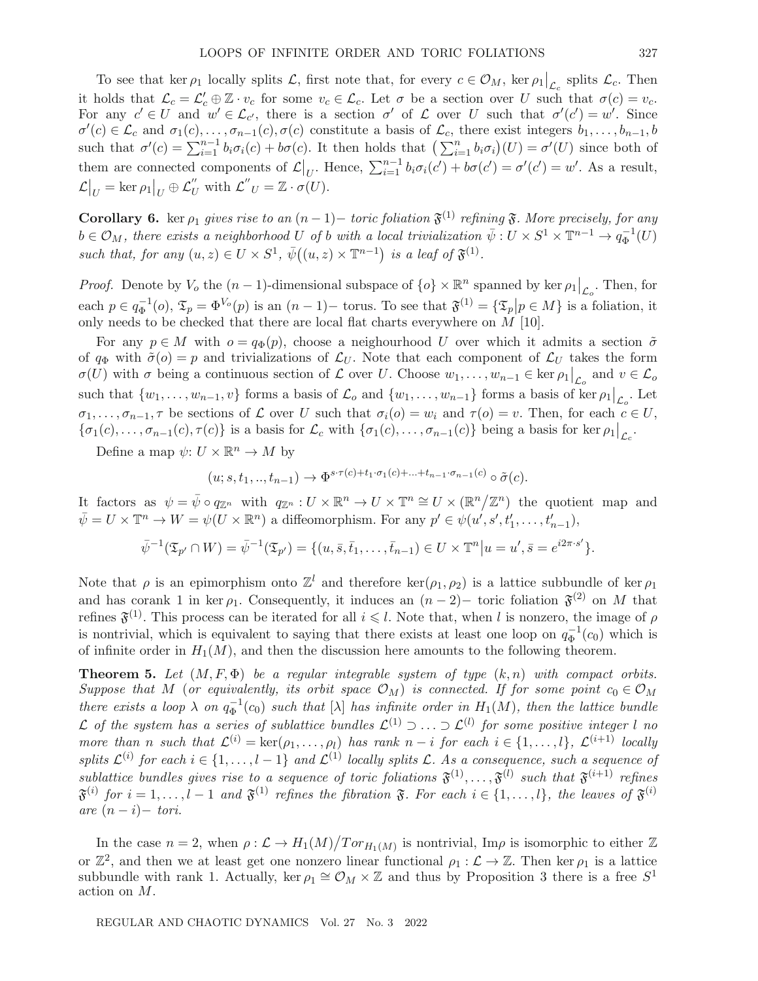To see that ker  $\rho_1$  locally splits  $\mathcal{L}$ , first note that, for every  $c \in \mathcal{O}_M$ , ker  $\rho_1|_{\mathcal{L}_c}$  splits  $\mathcal{L}_c$ . Then  $\overline{\phantom{a}}$ it holds that  $\mathcal{L}_c = \mathcal{L}'_c \oplus \mathbb{Z} \cdot v_c$  for some  $v_c \in \mathcal{L}_c$ . Let  $\sigma$  be a section over U such that  $\sigma(c) = v_c$ . For any  $c' \in U$  and  $w' \in \mathcal{L}_{c'}$ , there is a section  $\sigma'$  of  $\mathcal L$  over U such that  $\sigma'(c') = w'$ . Since  $\sigma'(c) \in \mathcal{L}_c$  and  $\sigma_1(c), \ldots, \sigma_{n-1}(c), \sigma(c)$  constitute a basis of  $\mathcal{L}_c$ , there exist integers  $b_1, \ldots, b_{n-1}, b_n$ such that  $\sigma'(c) = \sum_{i=1}^{n-1} b_i \sigma_i(c) + b \sigma(c)$ . It then holds that  $\left(\sum_{i=1}^n b_i \sigma_i\right)(U) = \sigma'(U)$  since both of them are connected components of  $\mathcal{L}|_{U}$ . Hence,  $\sum_{i=1}^{n-1} b_i \sigma_i(c') + b\sigma(c') = \sigma'(c') = w'$ . As a result,  $\mathcal{L}|_U = \ker \rho_1|_U \oplus \mathcal{L}''_U$  with  $\mathcal{L}''_U = \mathbb{Z} \cdot \sigma(U)$ .

**Corollary 6.** ker  $\rho_1$  gives rise to an  $(n-1)$  – toric foliation  $\mathfrak{F}^{(1)}$  refining  $\mathfrak{F}$ . More precisely, for any  $b \in \mathcal{O}_M$ , there exists a neighborhood U of b with a local trivialization  $\bar{\psi}: U \times S^1 \times \mathbb{T}^{n-1} \to q_{\Phi}^{-1}(U)$ such that, for any  $(u, z) \in U \times S^1$ ,  $\overline{\psi}((u, z) \times \mathbb{T}^{n-1})$  is a leaf of  $\mathfrak{F}^{(1)}$ .

*Proof.* Denote by  $V_o$  the  $(n-1)$ -dimensional subspace of  $\{o\} \times \mathbb{R}^n$  spanned by ker  $\rho_1|_{\mathcal{L}_o}$ . Then, for each  $p \in q_{\Phi}^{-1}(o)$ ,  $\mathfrak{T}_p = \Phi^{V_o}(p)$  is an  $(n-1)$  - torus. To see that  $\mathfrak{F}^{(1)} = {\{\mathfrak{T}_p | p \in M\}}$  is a foliation, it only needs to be checked that there are local flat charts everywhere on  $M$  [10].

For any  $p \in M$  with  $o = q_{\Phi}(p)$ , choose a neighourhood U over which it admits a section  $\tilde{\sigma}$ of  $q_{\Phi}$  with  $\tilde{\sigma}(o) = p$  and trivializations of  $\mathcal{L}_U$ . Note that each component of  $\mathcal{L}_U$  takes the form  $\sigma(U)$  with  $\sigma$  being a continuous section of  $\mathcal L$  over U. Choose  $w_1, \ldots, w_{n-1} \in \ker \rho_1|_{\mathcal L_o}$  and  $v \in \mathcal L_o$ such that  $\{w_1, \ldots, w_{n-1}, v\}$  forms a basis of  $\mathcal{L}_o$  and  $\{w_1, \ldots, w_{n-1}\}$  forms a basis of ker  $\rho_1|_{\mathcal{L}_o}$ . Let  $\sigma_1,\ldots,\sigma_{n-1},\tau$  be sections of  $\mathcal L$  over U such that  $\sigma_i(o) = w_i$  and  $\tau(o) = v$ . Then, for each  $c \in U$ ,  $\{\sigma_1(c),\ldots,\sigma_{n-1}(c),\tau(c)\}\$ is a basis for  $\mathcal{L}_c$  with  $\{\sigma_1(c),\ldots,\sigma_{n-1}(c)\}\$ being a basis for ker  $\rho_1|_{\mathcal{L}_c}$ .

Define a map  $\psi: U \times \mathbb{R}^n \to M$  by

$$
(u;s,t_1,..,t_{n-1}) \rightarrow \Phi^{s \cdot \tau(c)+t_1 \cdot \sigma_1(c)+...+t_{n-1} \cdot \sigma_{n-1}(c)} \circ \tilde{\sigma}(c).
$$

It factors as  $\psi = \bar{\psi} \circ q_{\mathbb{Z}^n}$  with  $q_{\mathbb{Z}^n} : U \times \mathbb{R}^n \to U \times \mathbb{T}^n \cong U \times (\mathbb{R}^n / \mathbb{Z}^n)$  the quotient map and  $\bar{\psi} = U \times \mathbb{T}^n \to W = \psi(U \times \mathbb{R}^n)$  a diffeomorphism. For any  $p' \in \psi(u', s', t'_1, \dots, t'_{n-1}),$ 

$$
\bar{\psi}^{-1}(\mathfrak{T}_{p'} \cap W) = \bar{\psi}^{-1}(\mathfrak{T}_{p'}) = \{ (u, \bar{s}, \bar{t}_1, \dots, \bar{t}_{n-1}) \in U \times \mathbb{T}^n | u = u', \bar{s} = e^{i 2\pi \cdot s'} \}.
$$

Note that  $\rho$  is an epimorphism onto  $\mathbb{Z}^l$  and therefore ker( $\rho_1, \rho_2$ ) is a lattice subbundle of ker  $\rho_1$ and has corank 1 in ker  $\rho_1$ . Consequently, it induces an  $(n-2)$  toric foliation  $\mathfrak{F}^{(2)}$  on M that refines  $\mathfrak{F}^{(1)}$ . This process can be iterated for all  $i \leq l$ . Note that, when l is nonzero, the image of  $\rho$ is nontrivial, which is equivalent to saying that there exists at least one loop on  $q_{\Phi}^{-1}(c_0)$  which is of infinite order in  $H_1(M)$ , and then the discussion here amounts to the following theorem.

**Theorem 5.** Let  $(M, F, \Phi)$  be a regular integrable system of type  $(k, n)$  with compact orbits. Suppose that M (or equivalently, its orbit space  $\mathcal{O}_M$ ) is connected. If for some point  $c_0 \in \mathcal{O}_M$ there exists a loop  $\lambda$  on  $q_{\Phi}^{-1}(c_0)$  such that  $[\lambda]$  has infinite order in  $H_1(M)$ , then the lattice bundle L of the system has a series of sublattice bundles  $\mathcal{L}^{(1)}$  ⊃ ... ⊃  $\mathcal{L}^{(l)}$  for some positive integer l no more than n such that  $\mathcal{L}^{(i)} = \ker(\rho_1, \ldots, \rho_l)$  has rank  $n - i$  for each  $i \in \{1, \ldots, l\}$ ,  $\mathcal{L}^{(i+1)}$  locally splits  $\mathcal{L}^{(i)}$  for each  $i \in \{1,\ldots,l-1\}$  and  $\mathcal{L}^{(1)}$  locally splits  $\mathcal{L}$ . As a consequence, such a sequence of sublattice bundles gives rise to a sequence of toric foliations  $\mathfrak{F}^{(1)},\ldots,\mathfrak{F}^{(l)}$  such that  $\mathfrak{F}^{(i+1)}$  refines  $\mathfrak{F}^{(i)}$  for  $i = 1, \ldots, l-1$  and  $\mathfrak{F}^{(1)}$  refines the fibration  $\mathfrak{F}$ . For each  $i \in \{1, \ldots, l\}$ , the leaves of  $\mathfrak{F}^{(i)}$ are  $(n-i)-\text{tori}$ .

In the case  $n = 2$ , when  $\rho : \mathcal{L} \to H_1(M)/Tor_{H_1(M)}$  is nontrivial, Im $\rho$  is isomorphic to either  $\mathbb{Z}$ or  $\mathbb{Z}^2$ , and then we at least get one nonzero linear functional  $\rho_1 : \mathcal{L} \to \mathbb{Z}$ . Then ker  $\rho_1$  is a lattice subbundle with rank 1. Actually, ker  $\rho_1 \cong \mathcal{O}_M \times \mathbb{Z}$  and thus by Proposition 3 there is a free S<sup>1</sup> action on M.

REGULAR AND CHAOTIC DYNAMICS Vol. 27 No. 3 2022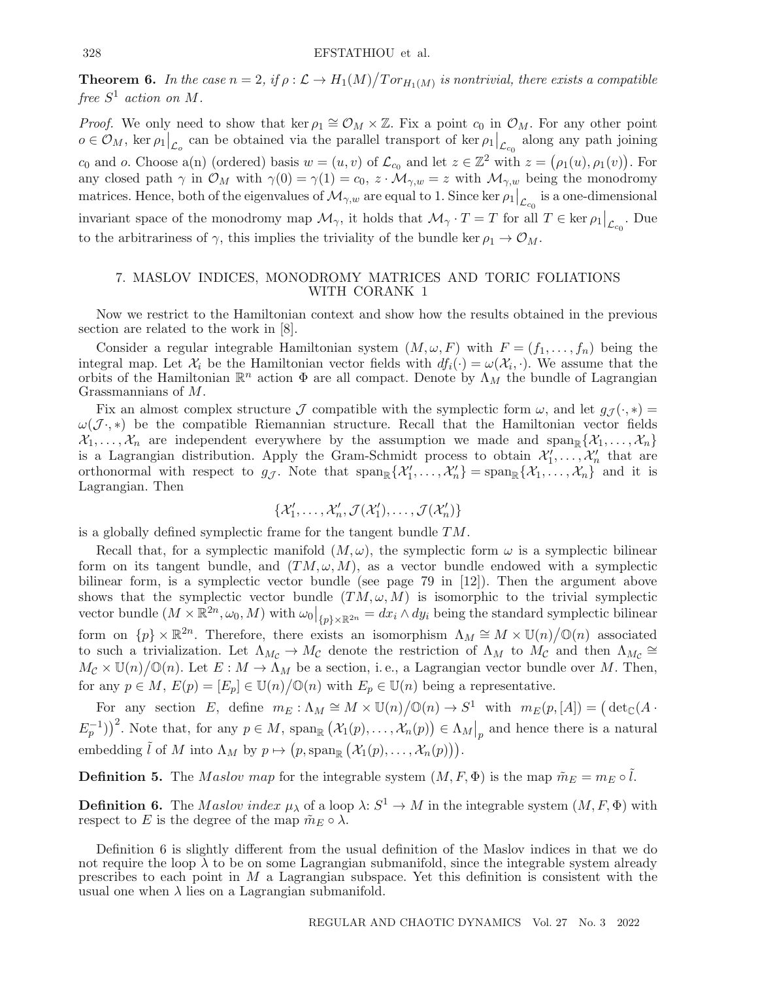**Theorem 6.** In the case  $n = 2$ , if  $\rho : \mathcal{L} \to H_1(M)/Tor_{H_1(M)}$  is nontrivial, there exists a compatible free  $S^1$  action on M.

*Proof.* We only need to show that ker  $\rho_1 \cong \mathcal{O}_M \times \mathbb{Z}$ . Fix a point  $c_0$  in  $\mathcal{O}_M$ . For any other point  $o \in \mathcal{O}_M$ , ker  $\rho_1|_{\mathcal{L}_o}$  can be obtained via the parallel transport of ker  $\rho_1|_{\mathcal{L}_{c_0}}$  along any path joining  $c_0$  and o. Choose a(n) (ordered) basis  $w = (u, v)$  of  $\mathcal{L}_{c_0}$  and let  $z \in \mathbb{Z}^2$  with  $z = (\rho_1(u), \rho_1(v))$ . For any closed path  $\gamma$  in  $\mathcal{O}_M$  with  $\gamma(0) = \gamma(1) = c_0$ ,  $z \cdot \mathcal{M}_{\gamma,w} = z$  with  $\mathcal{M}_{\gamma,w}$  being the monodromy matrices. Hence, both of the eigenvalues of  $\mathcal{M}_{\gamma,w}$  are equal to 1. Since ker  $\rho_1\big|_{\mathcal{L}_{c_0}}$  is a one-dimensional invariant space of the monodromy map  $\mathcal{M}_{\gamma}$ , it holds that  $\mathcal{M}_{\gamma} \cdot T = T$  for all  $T \in \text{ker } \rho_1 \big|_{\mathcal{L}_{c_0}}$ . Due to the arbitrariness of  $\gamma$ , this implies the triviality of the bundle ker  $\rho_1 \rightarrow \mathcal{O}_M$ .

## 7. MASLOV INDICES, MONODROMY MATRICES AND TORIC FOLIATIONS WITH CORANK 1

Now we restrict to the Hamiltonian context and show how the results obtained in the previous section are related to the work in [8].

Consider a regular integrable Hamiltonian system  $(M, \omega, F)$  with  $F = (f_1, \ldots, f_n)$  being the integral map. Let  $\mathcal{X}_i$  be the Hamiltonian vector fields with  $df_i(\cdot) = \omega(\mathcal{X}_i, \cdot)$ . We assume that the orbits of the Hamiltonian  $\mathbb{R}^n$  action  $\Phi$  are all compact. Denote by  $\Lambda_M$  the bundle of Lagrangian Grassmannians of M.

Fix an almost complex structure J compatible with the symplectic form  $\omega$ , and let  $q_{\mathcal{I}}(\cdot, *) =$  $\omega(\mathcal{J}\cdot,*)$  be the compatible Riemannian structure. Recall that the Hamiltonian vector fields  $\mathcal{X}_1,\ldots,\mathcal{X}_n$  are independent everywhere by the assumption we made and  $\text{span}_{\mathbb{R}}\{\mathcal{X}_1,\ldots,\mathcal{X}_n\}$ is a Lagrangian distribution. Apply the Gram-Schmidt process to obtain  $\mathcal{X}'_1, \ldots, \mathcal{X}'_n$  that are orthonormal with respect to  $g_{\mathcal{J}}$ . Note that  $\text{span}_{\mathbb{R}}\{\mathcal{X}'_1,\ldots,\mathcal{X}'_n\} = \text{span}_{\mathbb{R}}\{\mathcal{X}_1,\ldots,\mathcal{X}_n\}$  and it is Lagrangian. Then

$$
\{\mathcal{X}_1',\ldots,\mathcal{X}_n',\mathcal{J}(\mathcal{X}_1'),\ldots,\mathcal{J}(\mathcal{X}_n')\}
$$

is a globally defined symplectic frame for the tangent bundle TM.

Recall that, for a symplectic manifold  $(M, \omega)$ , the symplectic form  $\omega$  is a symplectic bilinear form on its tangent bundle, and  $(TM, \omega, M)$ , as a vector bundle endowed with a symplectic bilinear form, is a symplectic vector bundle (see page 79 in [12]). Then the argument above shows that the symplectic vector bundle  $(TM, \omega, M)$  is isomorphic to the trivial symplectic vector bundle  $(M \times \mathbb{R}^{2n}, \omega_0, M)$  with  $\omega_0|_{\{p\} \times \mathbb{R}^{2n}} = dx_i \wedge dy_i$  being the standard symplectic bilinear form on  $\{p\} \times \mathbb{R}^{2n}$ . Therefore, there exists an isomorphism  $\Lambda_M \cong M \times \mathbb{U}(n)/\mathbb{O}(n)$  associated to such a trivialization. Let  $\Lambda_{M_c} \to M_c$  denote the restriction of  $\Lambda_M$  to  $\dot{M_c}$  and then  $\Lambda_{M_c} \cong$  $M_{\mathcal{C}} \times \mathbb{U}(n)/\mathbb{O}(n)$ . Let  $E : M \to \Lambda_M$  be a section, i.e., a Lagrangian vector bundle over M. Then, for any  $p \in M$ ,  $E(p) = [E_p] \in U(n) / \mathbb{O}(n)$  with  $E_p \in U(n)$  being a representative.

For any section E, define  $m_E : \Lambda_M \cong M \times \mathbb{U}(n) / \mathbb{O}(n) \to S^1$  with  $m_E(p, [A]) = (\det_{\mathbb{C}}(A \cdot$  $(E_p^{-1})^2$ . Note that, for any  $p \in M$ ,  $\text{span}_{\mathbb{R}} (\mathcal{X}_1(p), \dots, \mathcal{X}_n(p)) \in \Lambda_M|_p$  and hence there is a natural embedding  $\tilde{l}$  of M into  $\Lambda_M$  by  $p \mapsto (p, \text{span}_{\mathbb{R}} (\mathcal{X}_1(p), \ldots, \mathcal{X}_n(p))).$ 

**Definition 5.** The *M* aslov map for the integrable system  $(M, F, \Phi)$  is the map  $\tilde{m}_E = m_E \circ \tilde{l}$ .

**Definition 6.** The Maslov index  $\mu_{\lambda}$  of a loop  $\lambda: S^1 \to M$  in the integrable system  $(M, F, \Phi)$  with respect to E is the degree of the map  $\tilde{m}_E \circ \lambda$ .

Definition 6 is slightly different from the usual definition of the Maslov indices in that we do not require the loop  $\lambda$  to be on some Lagrangian submanifold, since the integrable system already prescribes to each point in  $M$  a Lagrangian subspace. Yet this definition is consistent with the usual one when  $\lambda$  lies on a Lagrangian submanifold.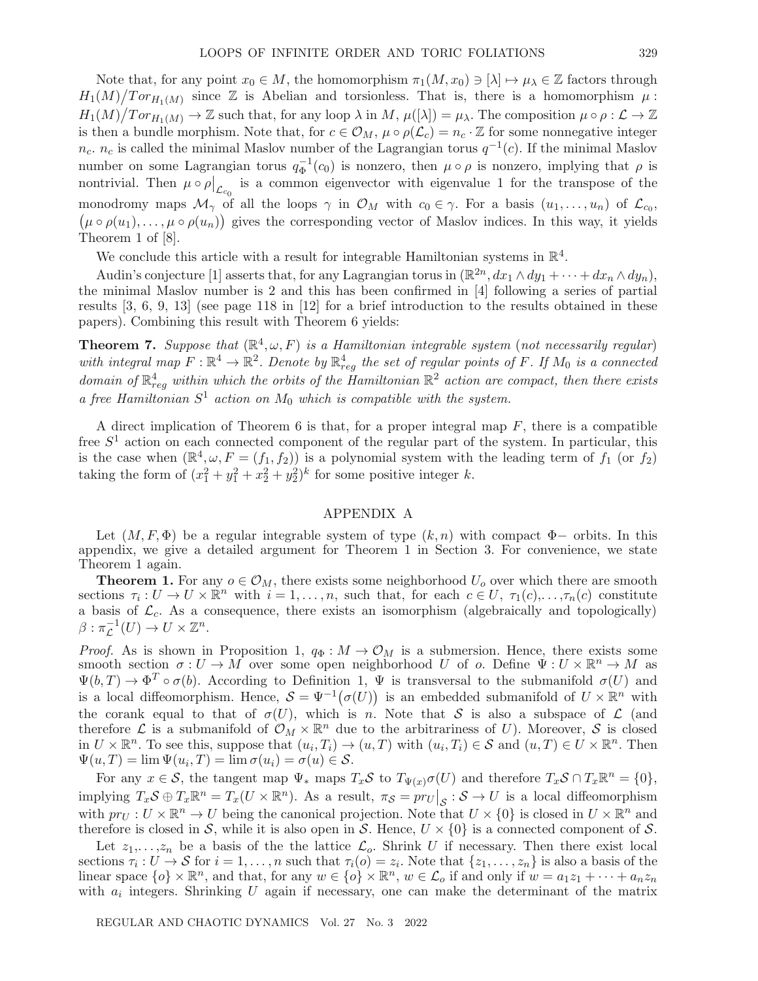Note that, for any point  $x_0 \in M$ , the homomorphism  $\pi_1(M, x_0) \ni [\lambda] \mapsto \mu_\lambda \in \mathbb{Z}$  factors through  $H_1(M)/Tor_{H_1(M)}$  since Z is Abelian and torsionless. That is, there is a homomorphism  $\mu$ :  $H_1(M)/Tor_{H_1(M)} \to \mathbb{Z}$  such that, for any loop  $\lambda$  in  $M$ ,  $\mu([\lambda]) = \mu_\lambda$ . The composition  $\mu \circ \rho : \mathcal{L} \to \mathbb{Z}$ is then a bundle morphism. Note that, for  $c \in \mathcal{O}_M$ ,  $\mu \circ \rho(\mathcal{L}_c) = n_c \cdot \mathbb{Z}$  for some nonnegative integer  $n_c$ .  $n_c$  is called the minimal Maslov number of the Lagrangian torus  $q^{-1}(c)$ . If the minimal Maslov number on some Lagrangian torus  $q_{\Phi}^{-1}(c_0)$  is nonzero, then  $\mu \circ \rho$  is nonzero, implying that  $\rho$  is nontrivial. Then  $\mu \circ \rho|_{\mathcal{L}_{c_0}}$  is a common eigenvector with eigenvalue 1 for the transpose of the monodromy maps  $\mathcal{M}_{\gamma}$  of all the loops  $\gamma$  in  $\mathcal{O}_M$  with  $c_0 \in \gamma$ . For a basis  $(u_1,\ldots,u_n)$  of  $\mathcal{L}_{c_0}$ ,  $(\mu \circ \rho(u_1), \ldots, \mu \circ \rho(u_n))$  gives the corresponding vector of Maslov indices. In this way, it yields Theorem 1 of [8].

We conclude this article with a result for integrable Hamiltonian systems in  $\mathbb{R}^4$ .

Audin's conjecture [1] asserts that, for any Lagrangian torus in  $(\mathbb{R}^{2n}, dx_1 \wedge dy_1 + \cdots + dx_n \wedge dy_n)$ , the minimal Maslov number is 2 and this has been confirmed in [4] following a series of partial results [3, 6, 9, 13] (see page 118 in [12] for a brief introduction to the results obtained in these papers). Combining this result with Theorem 6 yields:

**Theorem 7.** Suppose that  $(\mathbb{R}^4, \omega, F)$  is a Hamiltonian integrable system (not necessarily regular) with integral map  $F : \mathbb{R}^4 \to \mathbb{R}^2$ . Denote by  $\mathbb{R}^4_{reg}$  the set of regular points of F. If  $M_0$  is a connected domain of  $\mathbb{R}^4_{reg}$  within which the orbits of the Hamiltonian  $\mathbb{R}^2$  action are compact, then there exists a free Hamiltonian  $S^1$  action on  $M_0$  which is compatible with the system.

A direct implication of Theorem 6 is that, for a proper integral map  $F$ , there is a compatible free  $S<sup>1</sup>$  action on each connected component of the regular part of the system. In particular, this is the case when  $(\mathbb{R}^4,\omega,F=(f_1,f_2))$  is a polynomial system with the leading term of  $f_1$  (or  $f_2$ ) taking the form of  $(x_1^2 + y_1^2 + x_2^2 + y_2^2)^k$  for some positive integer k.

## APPENDIX A

Let  $(M, F, \Phi)$  be a regular integrable system of type  $(k, n)$  with compact  $\Phi$ - orbits. In this appendix, we give a detailed argument for Theorem 1 in Section 3. For convenience, we state Theorem 1 again.

**Theorem 1.** For any  $o \in \mathcal{O}_M$ , there exists some neighborhood  $U_o$  over which there are smooth sections  $\tau_i: U \to U \times \mathbb{R}^n$  with  $i = 1, \ldots, n$ , such that, for each  $c \in U$ ,  $\tau_1(c), \ldots, \tau_n(c)$  constitute a basis of  $\mathcal{L}_c$ . As a consequence, there exists an isomorphism (algebraically and topologically)  $\beta: \pi_{\mathcal{L}}^{-1}(U) \to U \times \mathbb{Z}^n$ .

*Proof.* As is shown in Proposition 1,  $q_{\Phi}: M \to \mathcal{O}_M$  is a submersion. Hence, there exists some smooth section  $\sigma: U \to M$  over some open neighborhood U of o. Define  $\Psi: U \times \mathbb{R}^n \to M$  as  $\Psi(b,T) \to \Phi^T \circ \sigma(b)$ . According to Definition 1,  $\Psi$  is transversal to the submanifold  $\sigma(U)$  and is a local diffeomorphism. Hence,  $S = \Psi^{-1}(\sigma(U))$  is an embedded submanifold of  $U \times \mathbb{R}^n$  with the corank equal to that of  $\sigma(U)$ , which is n. Note that S is also a subspace of  $\mathcal L$  (and therefore  $\mathcal L$  is a submanifold of  $\mathcal O_M \times \mathbb R^n$  due to the arbitrariness of U). Moreover, S is closed in  $U \times \mathbb{R}^n$ . To see this, suppose that  $(u_i, T_i) \to (u, T)$  with  $(u_i, T_i) \in S$  and  $(u, T) \in U \times \mathbb{R}^n$ . Then  $\Psi(u,T) = \lim \Psi(u_i,T) = \lim \sigma(u_i) = \sigma(u) \in \mathcal{S}.$ 

For any  $x \in \mathcal{S}$ , the tangent map  $\Psi_*$  maps  $T_x\mathcal{S}$  to  $T_{\Psi(x)}\sigma(U)$  and therefore  $T_x\mathcal{S} \cap T_x\mathbb{R}^n = \{0\},$ implying  $T_x \mathcal{S} \oplus T_x \mathbb{R}^n = T_x(U \times \mathbb{R}^n)$ . As a result,  $\pi_{\mathcal{S}} = pr_U \big|_{\mathcal{S}} : \mathcal{S} \to U$  is a local diffeomorphism with  $pr_U: U \times \mathbb{R}^n \to U$  being the canonical projection. Note that  $U \times \{0\}$  is closed in  $U \times \mathbb{R}^n$  and therefore is closed in S, while it is also open in S. Hence,  $U \times \{0\}$  is a connected component of S.

Let  $z_1, \ldots, z_n$  be a basis of the the lattice  $\mathcal{L}_o$ . Shrink U if necessary. Then there exist local sections  $\tau_i : U \to S$  for  $i = 1, \ldots, n$  such that  $\tau_i(o) = z_i$ . Note that  $\{z_1, \ldots, z_n\}$  is also a basis of the linear space  $\{o\} \times \mathbb{R}^n$ , and that, for any  $w \in \{o\} \times \mathbb{R}^n$ ,  $w \in \mathcal{L}_o$  if and only if  $w = a_1 z_1 + \cdots + a_n z_n$ with  $a_i$  integers. Shrinking  $U$  again if necessary, one can make the determinant of the matrix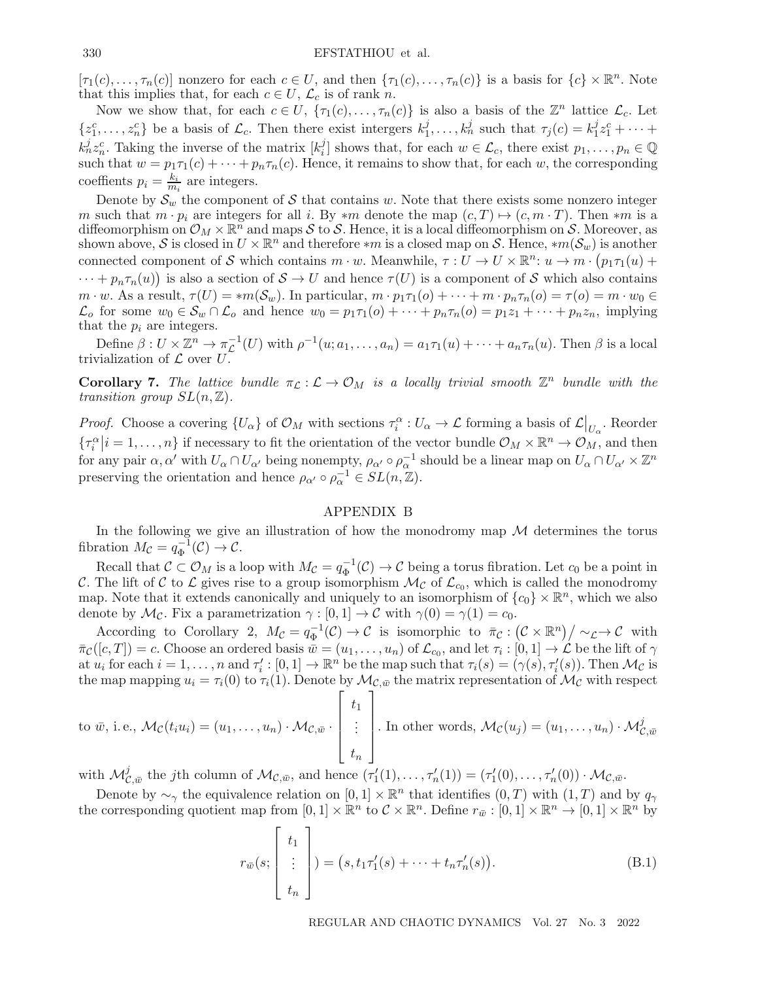$[\tau_1(c),\ldots,\tau_n(c)]$  nonzero for each  $c \in U$ , and then  $\{\tau_1(c),\ldots,\tau_n(c)\}\)$  is a basis for  $\{c\} \times \mathbb{R}^n$ . Note that this implies that, for each  $c \in U$ ,  $\mathcal{L}_c$  is of rank n.

Now we show that, for each  $c \in U$ ,  $\{\tau_1(c), \ldots, \tau_n(c)\}\)$  is also a basis of the  $\mathbb{Z}^n$  lattice  $\mathcal{L}_c$ . Let  $\{z_1^c,\ldots,z_n^c\}$  be a basis of  $\mathcal{L}_c$ . Then there exist intergers  $k_1^j,\ldots,k_n^j$  such that  $\tau_j(c)=k_1^jz_1^c+\cdots$  $k_n^j z_n^c$ . Taking the inverse of the matrix  $[k_i^j]$  shows that, for each  $w \in \mathcal{L}_c$ , there exist  $p_1, \ldots, p_n \in \mathbb{Q}$ such that  $w = p_1 \tau_1(c) + \cdots + p_n \tau_n(c)$ . Hence, it remains to show that, for each w, the corresponding coeffients  $p_i = \frac{k_i}{m_i}$  are integers.

Denote by  $\mathcal{S}_w$  the component of S that contains w. Note that there exists some nonzero integer m such that  $m \cdot p_i$  are integers for all i. By  $*m$  denote the map  $(c, T) \mapsto (c, m \cdot T)$ . Then  $*m$  is a diffeomorphism on  $\mathcal{O}_M \times \mathbb{R}^n$  and maps S to S. Hence, it is a local diffeomorphism on S. Moreover, as shown above, S is closed in  $U \times \mathbb{R}^n$  and therefore  $*m$  is a closed map on S. Hence,  $*m(\mathcal{S}_w)$  is another connected component of S which contains  $m \cdot w$ . Meanwhile,  $\tau : U \to U \times \mathbb{R}^n : u \to m \cdot (p_1 \tau_1(u))$  $\cdots + p_n \tau_n(u)$  is also a section of  $S \to U$  and hence  $\tau(U)$  is a component of S which also contains  $m \cdot w$ . As a result,  $\tau(U) = *m(\mathcal{S}_w)$ . In particular,  $m \cdot p_1 \tau_1(o) + \cdots + m \cdot p_n \tau_n(o) = \tau(o) = m \cdot w_0 \in$  $\mathcal{L}_o$  for some  $w_0 \in \mathcal{S}_w \cap \mathcal{L}_o$  and hence  $w_0 = p_1 \tau_1(o) + \cdots + p_n \tau_n(o) = p_1 z_1 + \cdots + p_n z_n$ , implying that the  $p_i$  are integers.

Define  $\beta: U \times \mathbb{Z}^n \to \pi_{\mathcal{L}}^{-1}(U)$  with  $\rho^{-1}(u; a_1, \ldots, a_n) = a_1 \tau_1(u) + \cdots + a_n \tau_n(u)$ . Then  $\beta$  is a local trivialization of  $\mathcal L$  over  $U$ .

**Corollary 7.** The lattice bundle  $\pi_L : L \to \mathcal{O}_M$  is a locally trivial smooth  $\mathbb{Z}^n$  bundle with the transition group  $SL(n, \mathbb{Z})$ .

*Proof.* Choose a covering  $\{U_{\alpha}\}\$  of  $\mathcal{O}_M$  with sections  $\tau_i^{\alpha}: U_{\alpha} \to \mathcal{L}$  forming a basis of  $\mathcal{L}|_{U_{\alpha}}$ . Reorder  $\{\tau_i^{\alpha}\big|i=1,\ldots,n\}$  if necessary to fit the orientation of the vector bundle  $\mathcal{O}_M \times \mathbb{R}^n \to \mathcal{O}_M$ , and then for any pair  $\alpha, \alpha'$  with  $U_{\alpha} \cap U_{\alpha'}$  being nonempty,  $\rho_{\alpha'} \circ \rho_{\alpha}^{-1}$  should be a linear map on  $U_{\alpha} \cap U_{\alpha'} \times \mathbb{Z}^n$ preserving the orientation and hence  $\rho_{\alpha'} \circ \rho_{\alpha}^{-1} \in SL(n, \mathbb{Z})$ .

## APPENDIX B

In the following we give an illustration of how the monodromy map  $\mathcal M$  determines the torus fibration  $M_{\mathcal{C}} = q_{\Phi}^{-1}(\mathcal{C}) \to \mathcal{C}$ .

Recall that  $C \subset \mathcal{O}_M$  is a loop with  $M_{\mathcal{C}} = q_{\Phi}^{-1}(\mathcal{C}) \to \mathcal{C}$  being a torus fibration. Let  $c_0$  be a point in C. The lift of C to L gives rise to a group isomorphism  $\mathcal{M}_{\mathcal{C}}$  of  $\mathcal{L}_{c_0}$ , which is called the monodromy map. Note that it extends canonically and uniquely to an isomorphism of  $\{c_0\} \times \mathbb{R}^n$ , which we also denote by  $\mathcal{M}_{\mathcal{C}}$ . Fix a parametrization  $\gamma : [0, 1] \to \mathcal{C}$  with  $\gamma(0) = \gamma(1) = c_0$ .

According to Corollary 2,  $M_{\mathcal{C}} = q_{\Phi}^{-1}(\mathcal{C}) \to \mathcal{C}$  is isomorphic to  $\bar{\pi}_{\mathcal{C}} : (\mathcal{C} \times \mathbb{R}^n)/\sim_{\mathcal{L}} \to \mathcal{C}$  with  $\bar{\pi}_{\mathcal{C}}([c,T]) = c.$  Choose an ordered basis  $\bar{w} = (u_1,\ldots,u_n)$  of  $\mathcal{L}_{c_0}$ , and let  $\tau_i : [0,1] \to \mathcal{L}$  be the lift of  $\gamma$ at  $u_i$  for each  $i = 1, ..., n$  and  $\tau'_i : [0, 1] \to \mathbb{R}^n$  be the map such that  $\tau_i(s) = (\gamma(s), \tau'_i(s))$ . Then  $\mathcal{M}_{\mathcal{C}}$  is the map mapping  $u_i = \tau_i(0)$  to  $\tau_i(1)$ . Denote by  $\mathcal{M}_{\mathcal{C}, \bar{w}}$  the matrix representation of  $\mathcal{M}_{\mathcal{C}}$  with respect

to 
$$
\bar{w}
$$
, i.e.,  $\mathcal{M}_{\mathcal{C}}(t_i u_i) = (u_1, \ldots, u_n) \cdot \mathcal{M}_{\mathcal{C}, \bar{w}} \cdot \begin{bmatrix} t_1 \\ \vdots \\ t_n \end{bmatrix}$ . In other words,  $\mathcal{M}_{\mathcal{C}}(u_j) = (u_1, \ldots, u_n) \cdot \mathcal{M}_{\mathcal{C}, \bar{w}}^j$ 

with  $\mathcal{M}_{\mathcal{C},\bar{w}}^j$  the jth column of  $\mathcal{M}_{\mathcal{C},\bar{w}}$ , and hence  $(\tau'_1(1),\ldots,\tau'_n(1)) = (\tau'_1(0),\ldots,\tau'_n(0)) \cdot \mathcal{M}_{\mathcal{C},\bar{w}}$ .

Denote by  $\sim_{\gamma}$  the equivalence relation on  $[0,1] \times \mathbb{R}^n$  that identifies  $(0,T)$  with  $(1,T)$  and by  $q_{\gamma}$ the corresponding quotient map from  $[0, 1] \times \mathbb{R}^n$  to  $C \times \mathbb{R}^n$ . Define  $r_{\bar{w}} : [0, 1] \times \mathbb{R}^n \to [0, 1] \times \mathbb{R}^n$  by

$$
r_{\bar{w}}(s; \begin{bmatrix} t_1 \\ \vdots \\ t_n \end{bmatrix}) = (s, t_1 \tau_1'(s) + \dots + t_n \tau_n'(s)).
$$
 (B.1)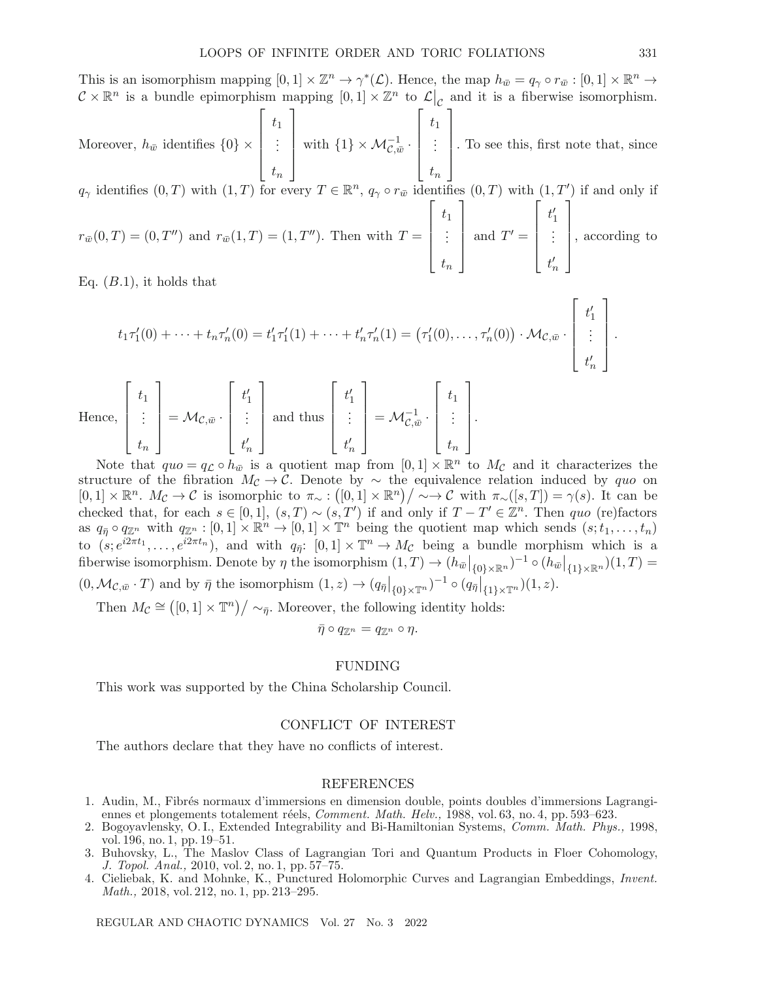This is an isomorphism mapping  $[0, 1] \times \mathbb{Z}^n \to \gamma^*(\mathcal{L})$ . Hence, the map  $h_{\bar{w}} = q_\gamma \circ r_{\bar{w}} : [0, 1] \times \mathbb{R}^n \to$  $\mathcal{C} \times \mathbb{R}^n$  is a bundle epimorphism mapping  $[0, 1] \times \mathbb{Z}^n$  to  $\mathcal{L}|_{\mathcal{C}}$  and it is a fiberwise isomorphism.

Moreover,  $h_{\bar{w}}$  identifies  $\{0\} \times$  $\sqrt{ }$  $\begin{bmatrix} \vdots \\ \vdots \\ \vdots \end{bmatrix}$  $t_1$ . . .  $t_n$ ⎤  $\begin{bmatrix} \frac{1}{2} \\ \frac{1}{2} \end{bmatrix}$ with  $\{1\} \times \mathcal{M}_{\mathcal{C},\bar{w}}^{-1}$ .  $\sqrt{ }$  $\begin{bmatrix} \frac{1}{2} & \frac{1}{2} \\ \frac{1}{2} & \frac{1}{2} \end{bmatrix}$  $t_1$ . . .  $t_n$ ⎤  $\begin{bmatrix} \frac{1}{2} \\ \frac{1}{2} \end{bmatrix}$ . To see this, first note that, since

 $q_{\gamma}$  identifies  $(0,T)$  with  $(1,T)$  for every  $T \in \mathbb{R}^n$ ,  $q_{\gamma} \circ r_{\bar{w}}$  identifies  $(0,T)$  with  $(1,T')$  if and only if  $\lceil$ ⎤  $\lceil$ ⎤

 $r_{\bar{w}}(0,T) = (0,T'')$  and  $r_{\bar{w}}(1,T) = (1,T'')$ . Then with  $T =$  $\begin{bmatrix} \phantom{-} \end{bmatrix}$  $t_1$ . . .  $t_n$  $\begin{bmatrix} \frac{1}{2} \\ \frac{1}{2} \end{bmatrix}$ and  $T' =$  $\begin{bmatrix} \frac{1}{2} & \frac{1}{2} \\ \frac{1}{2} & \frac{1}{2} \end{bmatrix}$  $t'_1$ <br>:  $t_n'$  $\begin{bmatrix} \frac{1}{2} \\ \frac{1}{2} \end{bmatrix}$ , according to

Eq.  $(B.1)$ , it holds that

$$
t_1\tau'_1(0) + \cdots + t_n\tau'_n(0) = t'_1\tau'_1(1) + \cdots + t'_n\tau'_n(1) = (\tau'_1(0), \ldots, \tau'_n(0)) \cdot \mathcal{M}_{\mathcal{C}, \bar{w}} \cdot \begin{bmatrix} t'_1 \\ \vdots \\ t'_n \end{bmatrix}.
$$

Hence, 
$$
\begin{bmatrix} t_1 \\ \vdots \\ t_n \end{bmatrix} = \mathcal{M}_{\mathcal{C},\bar{w}} \cdot \begin{bmatrix} t'_1 \\ \vdots \\ t'_n \end{bmatrix}
$$
 and thus  $\begin{bmatrix} t'_1 \\ \vdots \\ t'_n \end{bmatrix} = \mathcal{M}_{\mathcal{C},\bar{w}}^{-1} \cdot \begin{bmatrix} t_1 \\ \vdots \\ t_n \end{bmatrix}.$ 

Note that  $quo = q_c \circ h_{\bar{w}}$  is a quotient map from  $[0, 1] \times \mathbb{R}^n$  to  $M_c$  and it characterizes the structure of the fibration  $M_c \to \tilde{C}$ . Denote by ∼ the equivalence relation induced by quo on  $[0,1] \times \mathbb{R}^n$ .  $M_{\mathcal{C}} \to \mathcal{C}$  is isomorphic to  $\pi_{\sim} : ([0,1] \times \mathbb{R}^n) / \sim \to \mathcal{C}$  with  $\pi_{\sim}([s,T]) = \gamma(s)$ . It can be checked that, for each  $s \in [0,1]$ ,  $(s,T) \sim (s,T')$  if and only if  $T - T' \in \mathbb{Z}^n$ . Then quo (re)factors as  $q_{\bar{\eta}} \circ q_{\mathbb{Z}^n}$  with  $q_{\mathbb{Z}^n} : [0,1] \times \mathbb{R}^n \to [0,1] \times \mathbb{T}^n$  being the quotient map which sends  $(s; t_1,\ldots,t_n)$ to  $(s, e^{i2\pi t_1}, \ldots, e^{i2\pi t_n})$ , and with  $q_{\overline{\eta}}$ :  $[0, 1] \times \mathbb{T}^n \to M_{\mathcal{C}}$  being a bundle morphism which is a fiberwise isomorphism. Denote by  $\eta$  the isomorphism  $(1,T) \to (h_{\bar{w}}|_{\{0\}\times\mathbb{R}^n})^{-1} \circ (h_{\bar{w}}|_{\{1\}\times\mathbb{R}^n})(1,T) =$  $(0, \mathcal{M}_{\mathcal{C}, \bar{w}} \cdot T)$  and by  $\bar{\eta}$  the isomorphism  $(1, z) \to (q_{\bar{\eta}}|_{\{0\} \times \mathbb{T}^n})^{-1} \circ (q_{\bar{\eta}}|_{\{1\} \times \mathbb{T}^n})(1, z)$ .

Then  $M_c \cong ([0, 1] \times \mathbb{T}^n) / \sim_{\bar{\eta}}$ . Moreover, the following identity holds:

 $\bar{\eta} \circ q_{\mathbb{Z}^n} = q_{\mathbb{Z}^n} \circ \eta.$ 

#### FUNDING

This work was supported by the China Scholarship Council.

#### CONFLICT OF INTEREST

The authors declare that they have no conflicts of interest.

#### REFERENCES

- 1. Audin, M., Fibr´es normaux d'immersions en dimension double, points doubles d'immersions Lagrangiennes et plongements totalement réels, *Comment. Math. Helv.*, 1988, vol. 63, no. 4, pp. 593–623.
- 2. Bogoyavlensky, O. I., Extended Integrability and Bi-Hamiltonian Systems, Comm. Math. Phys., 1998, vol. 196, no. 1, pp. 19–51.
- 3. Buhovsky, L., The Maslov Class of Lagrangian Tori and Quantum Products in Floer Cohomology, J. Topol. Anal., 2010, vol. 2, no. 1, pp. 57–75.
- 4. Cieliebak, K. and Mohnke, K., Punctured Holomorphic Curves and Lagrangian Embeddings, Invent. Math., 2018, vol. 212, no. 1, pp. 213–295.